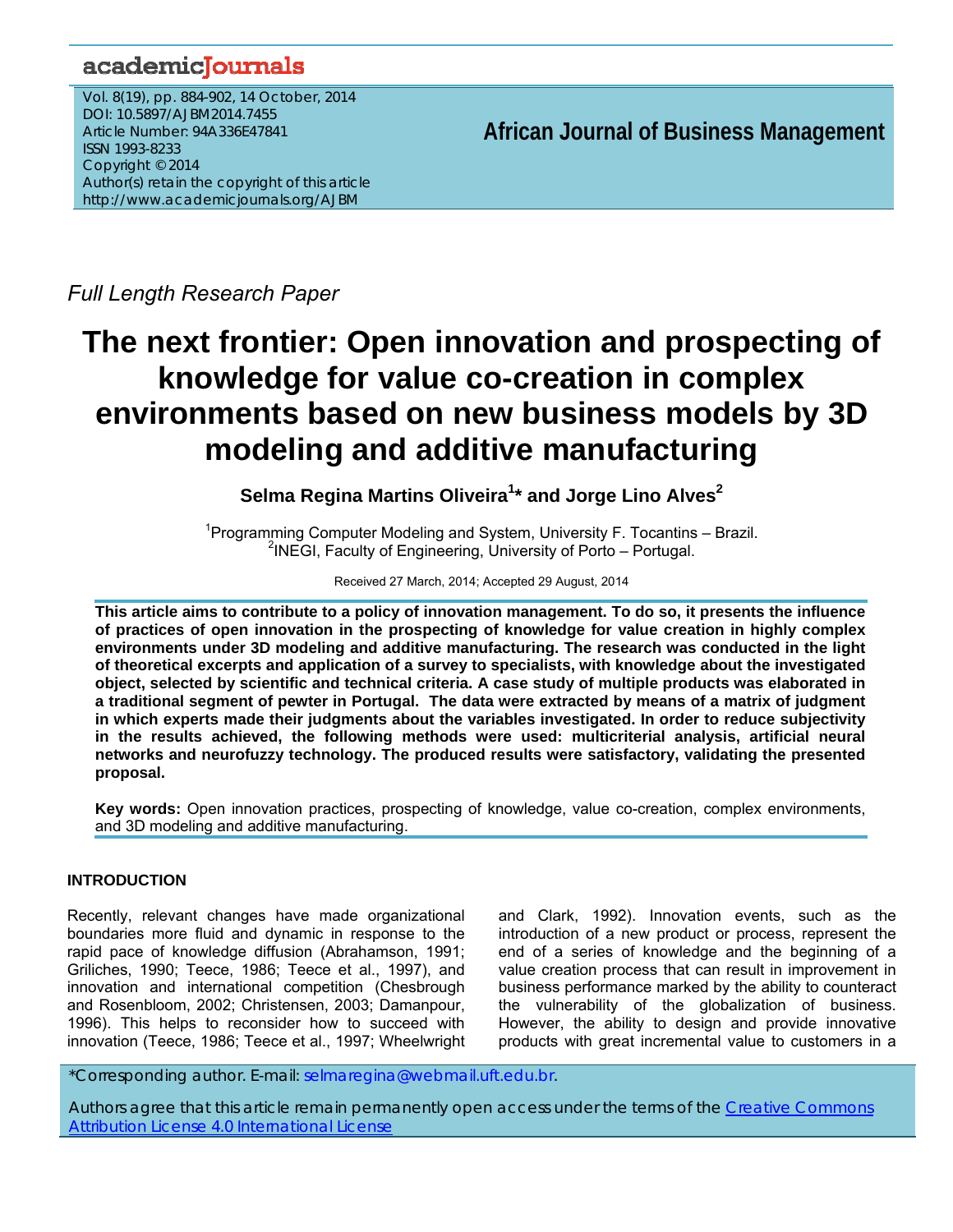# academicJournals

Vol. 8(19), pp. 884-902, 14 October, 2014 DOI: 10.5897/AJBM2014.7455 Article Number: 94A336E47841 ISSN 1993-8233 Copyright © 2014 Author(s) retain the copyright of this article http://www.academicjournals.org/AJBM

**African Journal of Business Management**

*Full Length Research Paper* 

# **The next frontier: Open innovation and prospecting of knowledge for value co-creation in complex environments based on new business models by 3D modeling and additive manufacturing**

**Selma Regina Martins Oliveira1 \* and Jorge Lino Alves2**

<sup>1</sup> Programming Computer Modeling and System, University F. Tocantins – Brazil.<br><sup>2</sup> NECL Faculty of Fraineering, University of Perta, Pertual <sup>2</sup>INEGI, Faculty of Engineering, University of Porto – Portugal.

# Received 27 March, 2014; Accepted 29 August, 2014

**This article aims to contribute to a policy of innovation management. To do so, it presents the influence of practices of open innovation in the prospecting of knowledge for value creation in highly complex environments under 3D modeling and additive manufacturing. The research was conducted in the light of theoretical excerpts and application of a survey to specialists, with knowledge about the investigated object, selected by scientific and technical criteria. A case study of multiple products was elaborated in a traditional segment of pewter in Portugal. The data were extracted by means of a matrix of judgment in which experts made their judgments about the variables investigated. In order to reduce subjectivity in the results achieved, the following methods were used: multicriterial analysis, artificial neural networks and neurofuzzy technology. The produced results were satisfactory, validating the presented proposal.** 

**Key words:** Open innovation practices, prospecting of knowledge, value co-creation, complex environments, and 3D modeling and additive manufacturing.

# **INTRODUCTION**

Recently, relevant changes have made organizational boundaries more fluid and dynamic in response to the rapid pace of knowledge diffusion (Abrahamson, 1991; Griliches, 1990; Teece, 1986; Teece et al., 1997), and innovation and international competition (Chesbrough and Rosenbloom, 2002; Christensen, 2003; Damanpour, 1996). This helps to reconsider how to succeed with innovation (Teece, 1986; Teece et al., 1997; Wheelwright

and Clark, 1992). Innovation events, such as the introduction of a new product or process, represent the end of a series of knowledge and the beginning of a value creation process that can result in improvement in business performance marked by the ability to counteract the vulnerability of the globalization of business. However, the ability to design and provide innovative products with great incremental value to customers in a

\*Corresponding author. E-mail: selmaregina@webmail.uft.edu.br.

Authors agree that this article remain permanently open access under the terms of the Creative Commons Attribution License 4.0 International License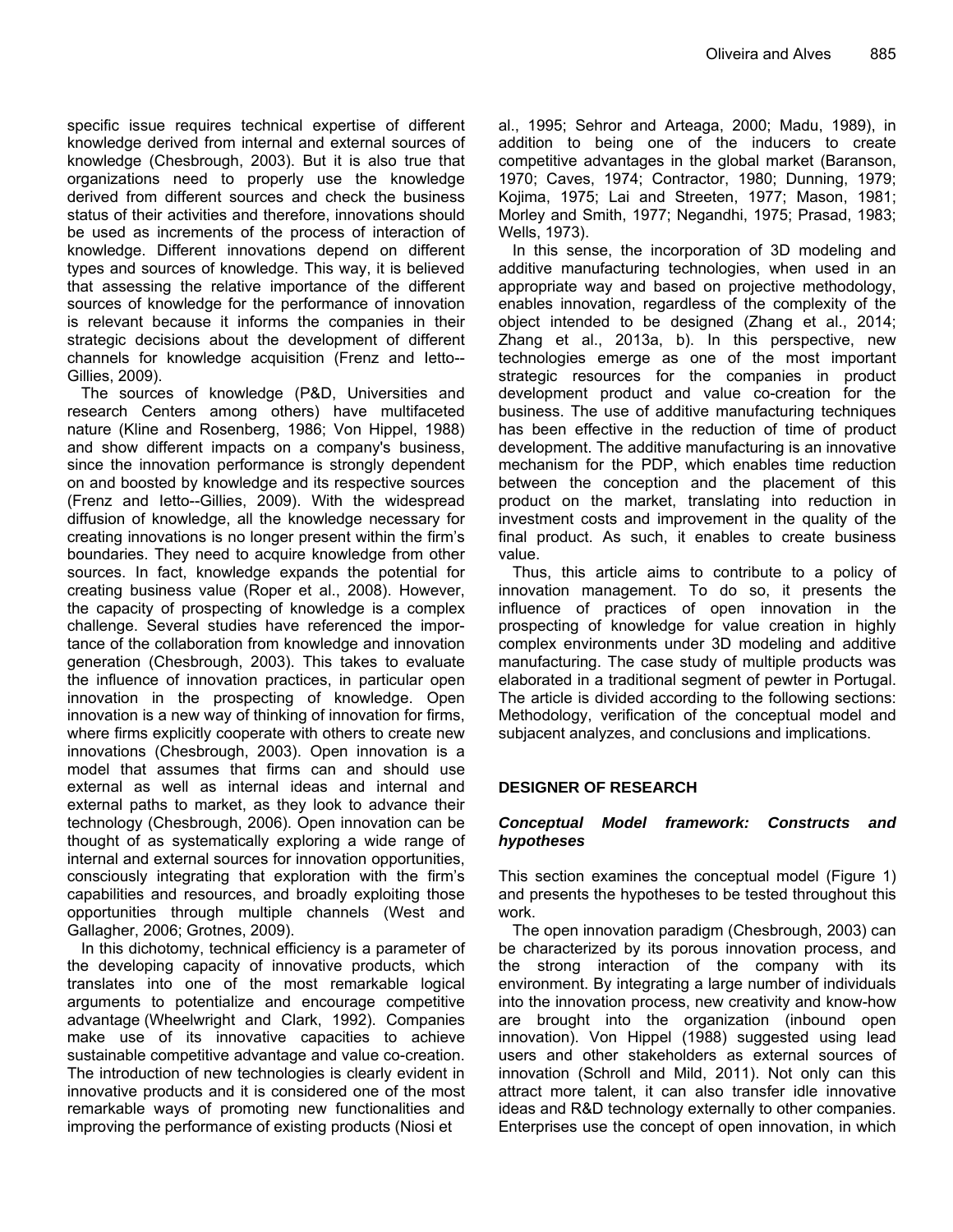specific issue requires technical expertise of different knowledge derived from internal and external sources of knowledge (Chesbrough, 2003). But it is also true that organizations need to properly use the knowledge derived from different sources and check the business status of their activities and therefore, innovations should be used as increments of the process of interaction of knowledge. Different innovations depend on different types and sources of knowledge. This way, it is believed that assessing the relative importance of the different sources of knowledge for the performance of innovation is relevant because it informs the companies in their strategic decisions about the development of different channels for knowledge acquisition (Frenz and Ietto-- Gillies, 2009).

The sources of knowledge (P&D, Universities and research Centers among others) have multifaceted nature (Kline and Rosenberg, 1986; Von Hippel, 1988) and show different impacts on a company's business, since the innovation performance is strongly dependent on and boosted by knowledge and its respective sources (Frenz and Ietto--Gillies, 2009). With the widespread diffusion of knowledge, all the knowledge necessary for creating innovations is no longer present within the firm's boundaries. They need to acquire knowledge from other sources. In fact, knowledge expands the potential for creating business value (Roper et al., 2008). However, the capacity of prospecting of knowledge is a complex challenge. Several studies have referenced the importance of the collaboration from knowledge and innovation generation (Chesbrough, 2003). This takes to evaluate the influence of innovation practices, in particular open innovation in the prospecting of knowledge. Open innovation is a new way of thinking of innovation for firms, where firms explicitly cooperate with others to create new innovations (Chesbrough, 2003). Open innovation is a model that assumes that firms can and should use external as well as internal ideas and internal and external paths to market, as they look to advance their technology (Chesbrough, 2006). Open innovation can be thought of as systematically exploring a wide range of internal and external sources for innovation opportunities, consciously integrating that exploration with the firm's capabilities and resources, and broadly exploiting those opportunities through multiple channels (West and Gallagher, 2006; Grotnes, 2009).

In this dichotomy, technical efficiency is a parameter of the developing capacity of innovative products, which translates into one of the most remarkable logical arguments to potentialize and encourage competitive advantage (Wheelwright and Clark, 1992). Companies make use of its innovative capacities to achieve sustainable competitive advantage and value co-creation. The introduction of new technologies is clearly evident in innovative products and it is considered one of the most remarkable ways of promoting new functionalities and improving the performance of existing products (Niosi et

al., 1995; Sehror and Arteaga, 2000; Madu, 1989), in addition to being one of the inducers to create competitive advantages in the global market (Baranson, 1970; Caves, 1974; Contractor, 1980; Dunning, 1979; Kojima, 1975; Lai and Streeten, 1977; Mason, 1981; Morley and Smith, 1977; Negandhi, 1975; Prasad, 1983; Wells, 1973).

In this sense, the incorporation of 3D modeling and additive manufacturing technologies, when used in an appropriate way and based on projective methodology, enables innovation, regardless of the complexity of the object intended to be designed (Zhang et al., 2014; Zhang et al., 2013a, b). In this perspective, new technologies emerge as one of the most important strategic resources for the companies in product development product and value co-creation for the business. The use of additive manufacturing techniques has been effective in the reduction of time of product development. The additive manufacturing is an innovative mechanism for the PDP, which enables time reduction between the conception and the placement of this product on the market, translating into reduction in investment costs and improvement in the quality of the final product. As such, it enables to create business value.

Thus, this article aims to contribute to a policy of innovation management. To do so, it presents the influence of practices of open innovation in the prospecting of knowledge for value creation in highly complex environments under 3D modeling and additive manufacturing. The case study of multiple products was elaborated in a traditional segment of pewter in Portugal. The article is divided according to the following sections: Methodology, verification of the conceptual model and subjacent analyzes, and conclusions and implications.

# **DESIGNER OF RESEARCH**

### *Conceptual Model framework: Constructs and hypotheses*

This section examines the conceptual model (Figure 1) and presents the hypotheses to be tested throughout this work.

The open innovation paradigm (Chesbrough, 2003) can be characterized by its porous innovation process, and the strong interaction of the company with its environment. By integrating a large number of individuals into the innovation process, new creativity and know-how are brought into the organization (inbound open innovation). Von Hippel (1988) suggested using lead users and other stakeholders as external sources of innovation (Schroll and Mild, 2011). Not only can this attract more talent, it can also transfer idle innovative ideas and R&D technology externally to other companies. Enterprises use the concept of open innovation, in which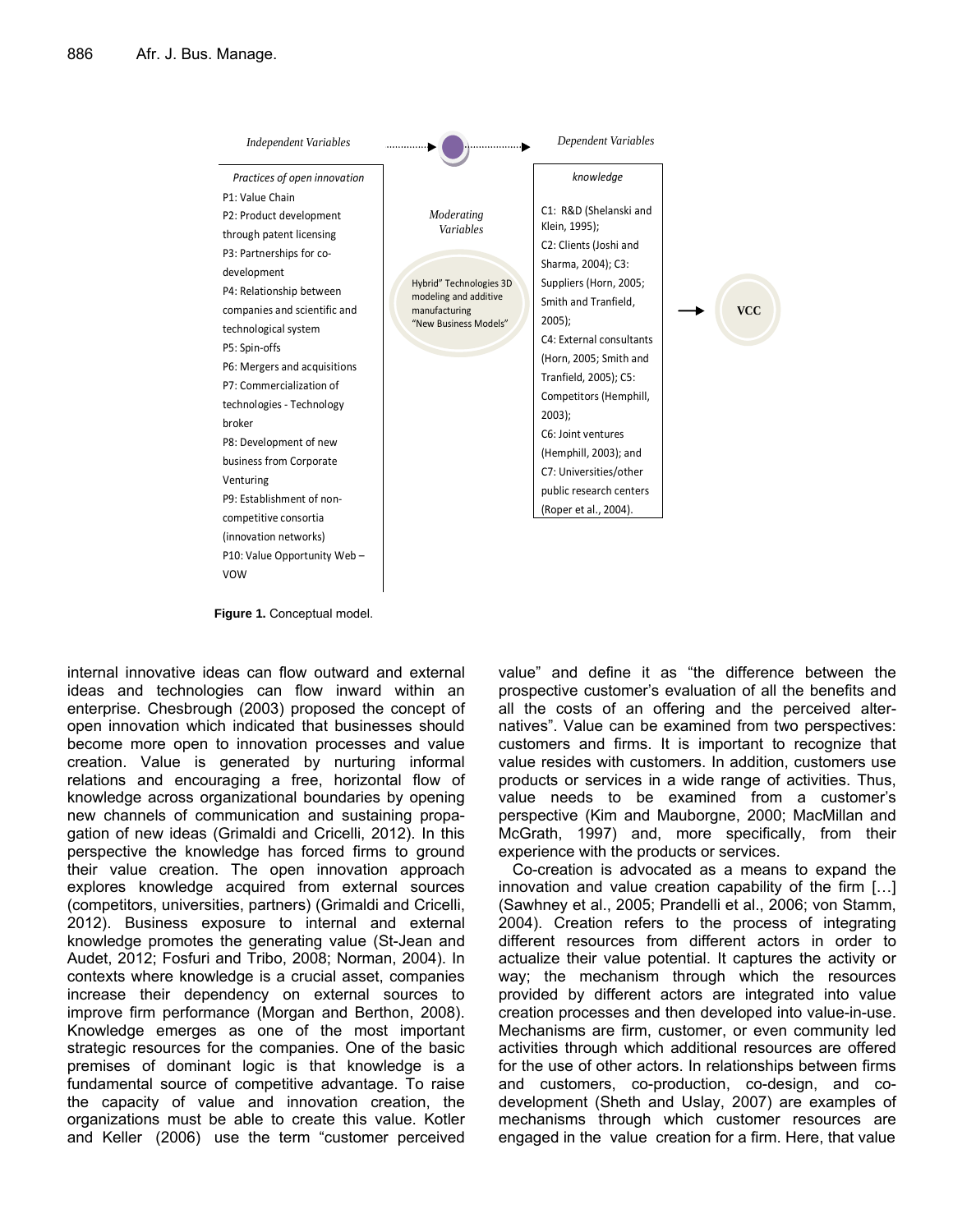

**Figure 1.** Conceptual model.

internal innovative ideas can flow outward and external ideas and technologies can flow inward within an enterprise. Chesbrough (2003) proposed the concept of open innovation which indicated that businesses should become more open to innovation processes and value creation. Value is generated by nurturing informal relations and encouraging a free, horizontal flow of knowledge across organizational boundaries by opening new channels of communication and sustaining propagation of new ideas (Grimaldi and Cricelli, 2012). In this perspective the knowledge has forced firms to ground their value creation. The open innovation approach explores knowledge acquired from external sources (competitors, universities, partners) (Grimaldi and Cricelli, 2012). Business exposure to internal and external knowledge promotes the generating value (St-Jean and Audet, 2012; Fosfuri and Tribo, 2008; Norman, 2004). In contexts where knowledge is a crucial asset, companies increase their dependency on external sources to improve firm performance (Morgan and Berthon, 2008). Knowledge emerges as one of the most important strategic resources for the companies. One of the basic premises of dominant logic is that knowledge is a fundamental source of competitive advantage. To raise the capacity of value and innovation creation, the organizations must be able to create this value. Kotler and Keller (2006) use the term "customer perceived value" and define it as "the difference between the prospective customer's evaluation of all the benefits and all the costs of an offering and the perceived alternatives". Value can be examined from two perspectives: customers and firms. It is important to recognize that value resides with customers. In addition, customers use products or services in a wide range of activities. Thus, value needs to be examined from a customer's perspective (Kim and Mauborgne, 2000; MacMillan and McGrath, 1997) and, more specifically, from their experience with the products or services.

Co-creation is advocated as a means to expand the innovation and value creation capability of the firm […] (Sawhney et al., 2005; Prandelli et al., 2006; von Stamm, 2004). Creation refers to the process of integrating different resources from different actors in order to actualize their value potential. It captures the activity or way; the mechanism through which the resources provided by different actors are integrated into value creation processes and then developed into value-in-use. Mechanisms are firm, customer, or even community led activities through which additional resources are offered for the use of other actors. In relationships between firms and customers, co-production, co-design, and codevelopment (Sheth and Uslay, 2007) are examples of mechanisms through which customer resources are engaged in the value creation for a firm. Here, that value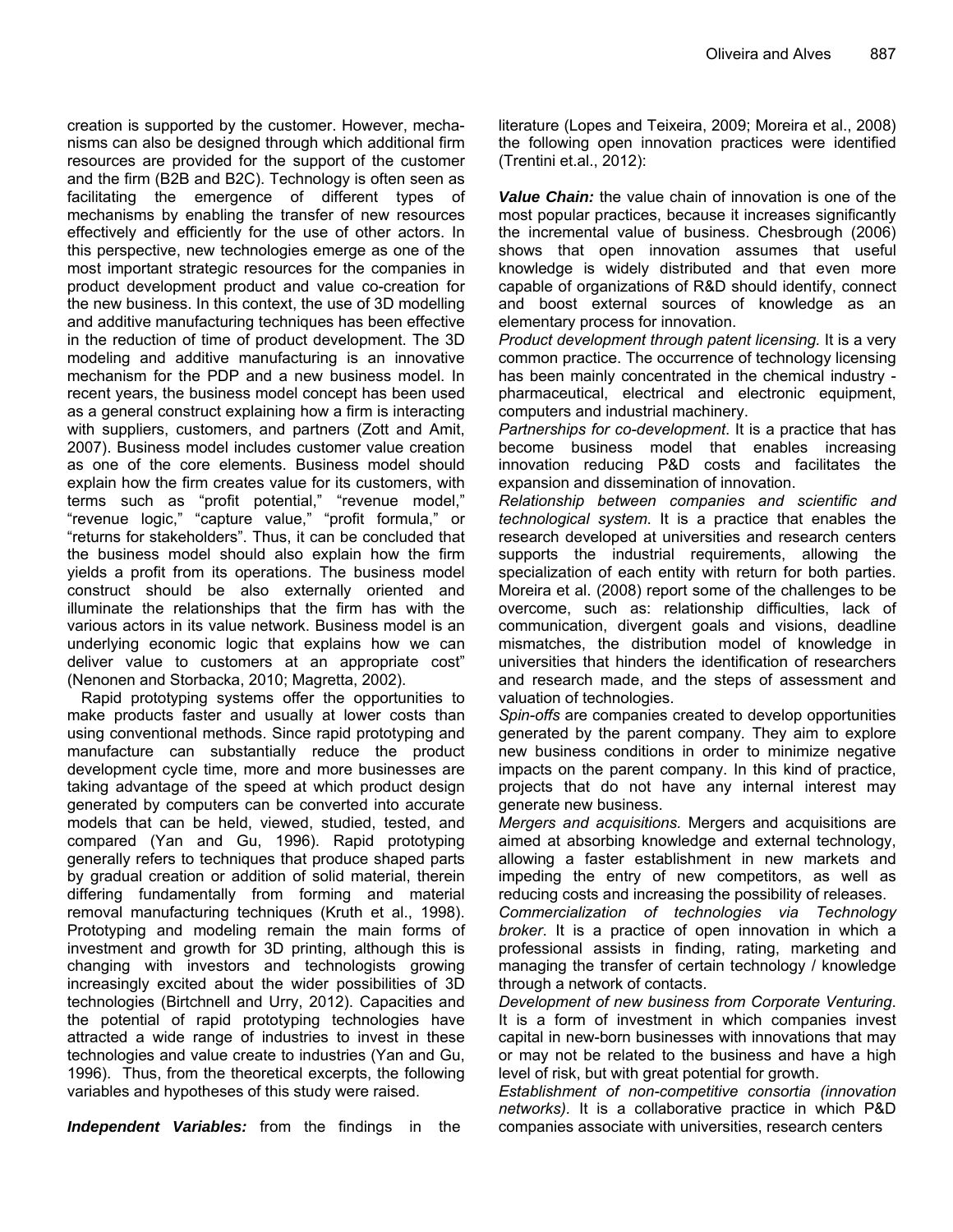creation is supported by the customer. However, mechanisms can also be designed through which additional firm resources are provided for the support of the customer and the firm (B2B and B2C). Technology is often seen as facilitating the emergence of different types of mechanisms by enabling the transfer of new resources effectively and efficiently for the use of other actors. In this perspective, new technologies emerge as one of the most important strategic resources for the companies in product development product and value co-creation for the new business. In this context, the use of 3D modelling and additive manufacturing techniques has been effective in the reduction of time of product development. The 3D modeling and additive manufacturing is an innovative mechanism for the PDP and a new business model. In recent years, the business model concept has been used as a general construct explaining how a firm is interacting with suppliers, customers, and partners (Zott and Amit, 2007). Business model includes customer value creation as one of the core elements. Business model should explain how the firm creates value for its customers, with terms such as "profit potential," "revenue model," "revenue logic," "capture value," "profit formula," or "returns for stakeholders". Thus, it can be concluded that the business model should also explain how the firm yields a profit from its operations. The business model construct should be also externally oriented and illuminate the relationships that the firm has with the various actors in its value network. Business model is an underlying economic logic that explains how we can deliver value to customers at an appropriate cost" (Nenonen and Storbacka, 2010; Magretta, 2002).

Rapid prototyping systems offer the opportunities to make products faster and usually at lower costs than using conventional methods. Since rapid prototyping and manufacture can substantially reduce the product development cycle time, more and more businesses are taking advantage of the speed at which product design generated by computers can be converted into accurate models that can be held, viewed, studied, tested, and compared (Yan and Gu, 1996). Rapid prototyping generally refers to techniques that produce shaped parts by gradual creation or addition of solid material, therein differing fundamentally from forming and material removal manufacturing techniques (Kruth et al., 1998). Prototyping and modeling remain the main forms of investment and growth for 3D printing, although this is changing with investors and technologists growing increasingly excited about the wider possibilities of 3D technologies (Birtchnell and Urry, 2012). Capacities and the potential of rapid prototyping technologies have attracted a wide range of industries to invest in these technologies and value create to industries (Yan and Gu, 1996). Thus, from the theoretical excerpts, the following variables and hypotheses of this study were raised.

*Independent Variables:* from the findings in the

literature (Lopes and Teixeira, 2009; Moreira et al., 2008) the following open innovation practices were identified (Trentini et.al., 2012):

*Value Chain:* the value chain of innovation is one of the most popular practices, because it increases significantly the incremental value of business. Chesbrough (2006) shows that open innovation assumes that useful knowledge is widely distributed and that even more capable of organizations of R&D should identify, connect and boost external sources of knowledge as an elementary process for innovation.

*Product development through patent licensing.* It is a very common practice. The occurrence of technology licensing has been mainly concentrated in the chemical industry pharmaceutical, electrical and electronic equipment, computers and industrial machinery.

*Partnerships for co-development*. It is a practice that has become business model that enables increasing innovation reducing P&D costs and facilitates the expansion and dissemination of innovation.

*Relationship between companies and scientific and technological system*. It is a practice that enables the research developed at universities and research centers supports the industrial requirements, allowing the specialization of each entity with return for both parties. Moreira et al. (2008) report some of the challenges to be overcome, such as: relationship difficulties, lack of communication, divergent goals and visions, deadline mismatches, the distribution model of knowledge in universities that hinders the identification of researchers and research made, and the steps of assessment and valuation of technologies.

*Spin-offs* are companies created to develop opportunities generated by the parent company*.* They aim to explore new business conditions in order to minimize negative impacts on the parent company. In this kind of practice, projects that do not have any internal interest may generate new business.

*Mergers and acquisitions.* Mergers and acquisitions are aimed at absorbing knowledge and external technology, allowing a faster establishment in new markets and impeding the entry of new competitors, as well as reducing costs and increasing the possibility of releases.

*Commercialization of technologies via Technology broker*. It is a practice of open innovation in which a professional assists in finding, rating, marketing and managing the transfer of certain technology / knowledge through a network of contacts.

*Development of new business from Corporate Venturing*. It is a form of investment in which companies invest capital in new-born businesses with innovations that may or may not be related to the business and have a high level of risk, but with great potential for growth.

*Establishment of non-competitive consortia (innovation networks).* It is a collaborative practice in which P&D companies associate with universities, research centers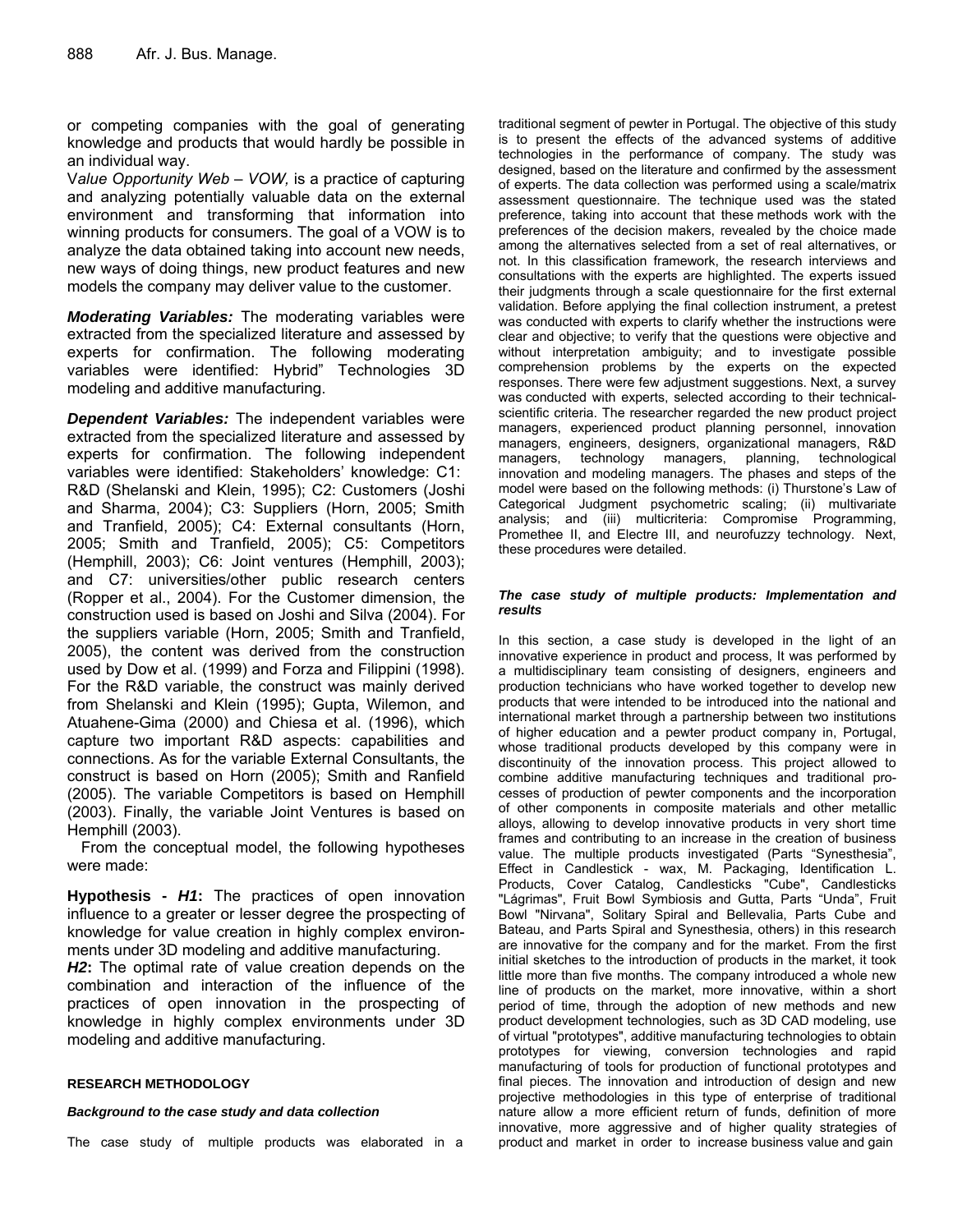or competing companies with the goal of generating knowledge and products that would hardly be possible in an individual way.

V*alue Opportunity Web – VOW,* is a practice of capturing and analyzing potentially valuable data on the external environment and transforming that information into winning products for consumers. The goal of a VOW is to analyze the data obtained taking into account new needs, new ways of doing things, new product features and new models the company may deliver value to the customer.

*Moderating Variables:* The moderating variables were extracted from the specialized literature and assessed by experts for confirmation. The following moderating variables were identified: Hybrid" Technologies 3D modeling and additive manufacturing.

*Dependent Variables:* The independent variables were extracted from the specialized literature and assessed by experts for confirmation. The following independent variables were identified: Stakeholders' knowledge: C1: R&D (Shelanski and Klein, 1995); C2: Customers (Joshi and Sharma, 2004); C3: Suppliers (Horn, 2005; Smith and Tranfield, 2005); C4: External consultants (Horn, 2005; Smith and Tranfield, 2005); C5: Competitors (Hemphill, 2003); C6: Joint ventures (Hemphill, 2003); and C7: universities/other public research centers (Ropper et al., 2004). For the Customer dimension, the construction used is based on Joshi and Silva (2004). For the suppliers variable (Horn, 2005; Smith and Tranfield, 2005), the content was derived from the construction used by Dow et al. (1999) and Forza and Filippini (1998). For the R&D variable, the construct was mainly derived from Shelanski and Klein (1995); Gupta, Wilemon, and Atuahene-Gima (2000) and Chiesa et al. (1996), which capture two important R&D aspects: capabilities and connections. As for the variable External Consultants, the construct is based on Horn (2005); Smith and Ranfield (2005). The variable Competitors is based on Hemphill (2003). Finally, the variable Joint Ventures is based on Hemphill (2003).

From the conceptual model, the following hypotheses were made:

**Hypothesis -** *H1***:** The practices of open innovation influence to a greater or lesser degree the prospecting of knowledge for value creation in highly complex environments under 3D modeling and additive manufacturing.

*H2***:** The optimal rate of value creation depends on the combination and interaction of the influence of the practices of open innovation in the prospecting of knowledge in highly complex environments under 3D modeling and additive manufacturing.

#### **RESEARCH METHODOLOGY**

#### *Background to the case study and data collection*

The case study of multiple products was elaborated in a

traditional segment of pewter in Portugal. The objective of this study is to present the effects of the advanced systems of additive technologies in the performance of company. The study was designed, based on the literature and confirmed by the assessment of experts. The data collection was performed using a scale/matrix assessment questionnaire. The technique used was the stated preference, taking into account that these methods work with the preferences of the decision makers, revealed by the choice made among the alternatives selected from a set of real alternatives, or not. In this classification framework, the research interviews and consultations with the experts are highlighted. The experts issued their judgments through a scale questionnaire for the first external validation. Before applying the final collection instrument, a pretest was conducted with experts to clarify whether the instructions were clear and objective; to verify that the questions were objective and without interpretation ambiguity; and to investigate possible comprehension problems by the experts on the expected responses. There were few adjustment suggestions. Next, a survey was conducted with experts, selected according to their technicalscientific criteria. The researcher regarded the new product project managers, experienced product planning personnel, innovation managers, engineers, designers, organizational managers, R&D managers, technology managers, planning, technological innovation and modeling managers. The phases and steps of the model were based on the following methods: (i) Thurstone's Law of Categorical Judgment psychometric scaling; (ii) multivariate analysis; and (iii) multicriteria: Compromise Programming, Promethee II, and Electre III, and neurofuzzy technology. Next, these procedures were detailed.

#### *The case study of multiple products: Implementation and results*

In this section, a case study is developed in the light of an innovative experience in product and process, It was performed by a multidisciplinary team consisting of designers, engineers and production technicians who have worked together to develop new products that were intended to be introduced into the national and international market through a partnership between two institutions of higher education and a pewter product company in, Portugal, whose traditional products developed by this company were in discontinuity of the innovation process. This project allowed to combine additive manufacturing techniques and traditional processes of production of pewter components and the incorporation of other components in composite materials and other metallic alloys, allowing to develop innovative products in very short time frames and contributing to an increase in the creation of business value. The multiple products investigated (Parts "Synesthesia", Effect in Candlestick - wax, M. Packaging, Identification L. Products, Cover Catalog, Candlesticks "Cube", Candlesticks "Lágrimas", Fruit Bowl Symbiosis and Gutta, Parts "Unda", Fruit Bowl "Nirvana", Solitary Spiral and Bellevalia, Parts Cube and Bateau, and Parts Spiral and Synesthesia, others) in this research are innovative for the company and for the market. From the first initial sketches to the introduction of products in the market, it took little more than five months. The company introduced a whole new line of products on the market, more innovative, within a short period of time, through the adoption of new methods and new product development technologies, such as 3D CAD modeling, use of virtual "prototypes", additive manufacturing technologies to obtain prototypes for viewing, conversion technologies and rapid manufacturing of tools for production of functional prototypes and final pieces. The innovation and introduction of design and new projective methodologies in this type of enterprise of traditional nature allow a more efficient return of funds, definition of more innovative, more aggressive and of higher quality strategies of product and market in order to increase business value and gain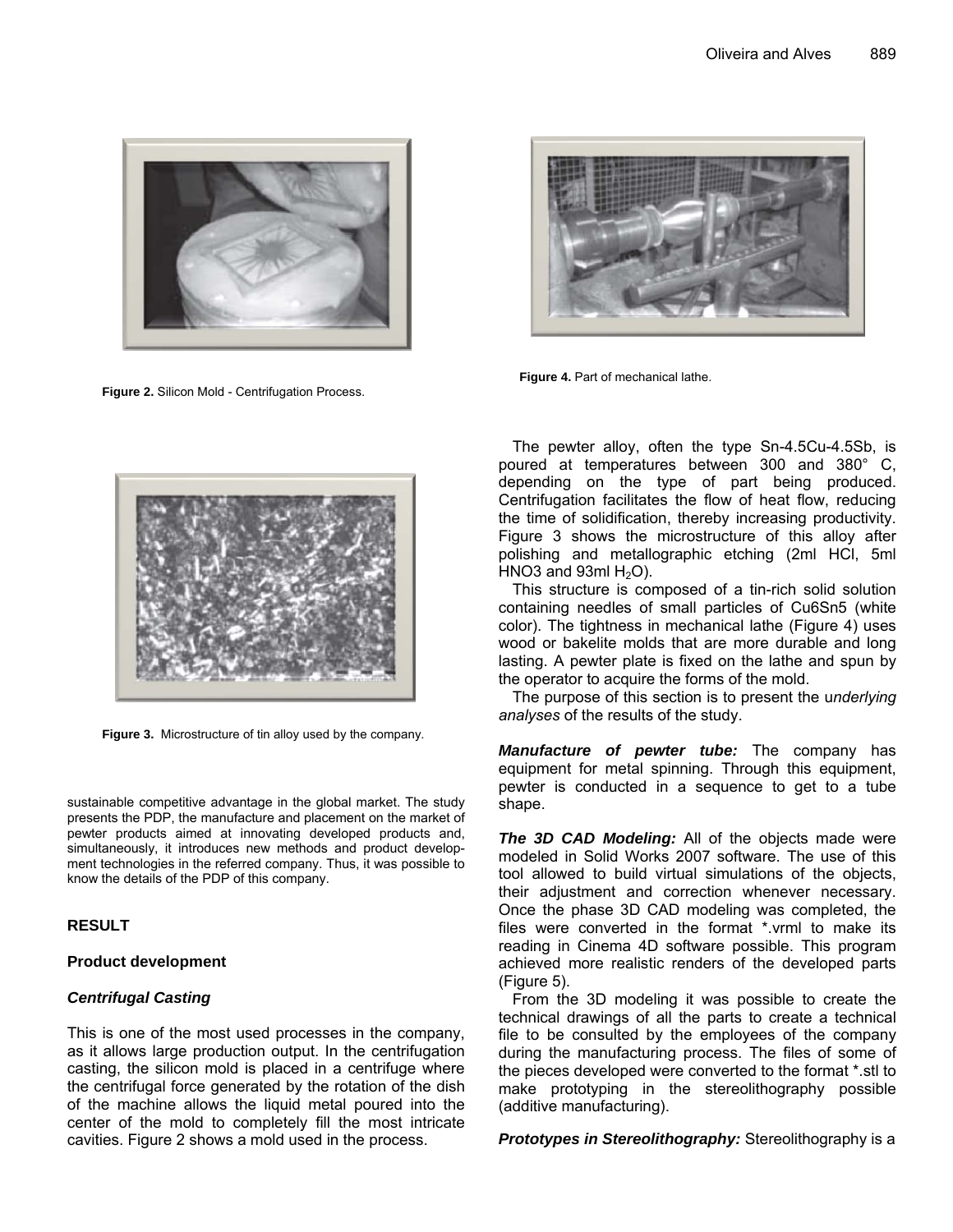

**Figure 2.** Silicon Mold - Centrifugation Process.



**Figure 4.** Part of mechanical lathe.



**Figure 3.** Microstructure of tin alloy used by the company.

sustainable competitive advantage in the global market. The study presents the PDP, the manufacture and placement on the market of pewter products aimed at innovating developed products and, simultaneously, it introduces new methods and product development technologies in the referred company. Thus, it was possible to know the details of the PDP of this company.

# **RESULT**

#### **Product development**

#### *Centrifugal Casting*

This is one of the most used processes in the company, as it allows large production output. In the centrifugation casting, the silicon mold is placed in a centrifuge where the centrifugal force generated by the rotation of the dish of the machine allows the liquid metal poured into the center of the mold to completely fill the most intricate cavities. Figure 2 shows a mold used in the process.

The pewter alloy, often the type Sn-4.5Cu-4.5Sb, is poured at temperatures between 300 and 380° C, depending on the type of part being produced. Centrifugation facilitates the flow of heat flow, reducing the time of solidification, thereby increasing productivity. Figure 3 shows the microstructure of this alloy after polishing and metallographic etching (2ml HCl, 5ml HNO3 and 93ml  $H_2O$ ).

This structure is composed of a tin-rich solid solution containing needles of small particles of Cu6Sn5 (white color). The tightness in mechanical lathe (Figure 4) uses wood or bakelite molds that are more durable and long lasting. A pewter plate is fixed on the lathe and spun by the operator to acquire the forms of the mold.

The purpose of this section is to present the u*nderlying analyses* of the results of the study.

*Manufacture of pewter tube:* The company has equipment for metal spinning. Through this equipment, pewter is conducted in a sequence to get to a tube shape.

**The 3D CAD Modeling:** All of the objects made were modeled in Solid Works 2007 software. The use of this tool allowed to build virtual simulations of the objects, their adjustment and correction whenever necessary. Once the phase 3D CAD modeling was completed, the files were converted in the format \*.vrml to make its reading in Cinema 4D software possible. This program achieved more realistic renders of the developed parts (Figure 5).

From the 3D modeling it was possible to create the technical drawings of all the parts to create a technical file to be consulted by the employees of the company during the manufacturing process. The files of some of the pieces developed were converted to the format \*.stl to make prototyping in the stereolithography possible (additive manufacturing).

*Prototypes in Stereolithography: Stereolithography is a*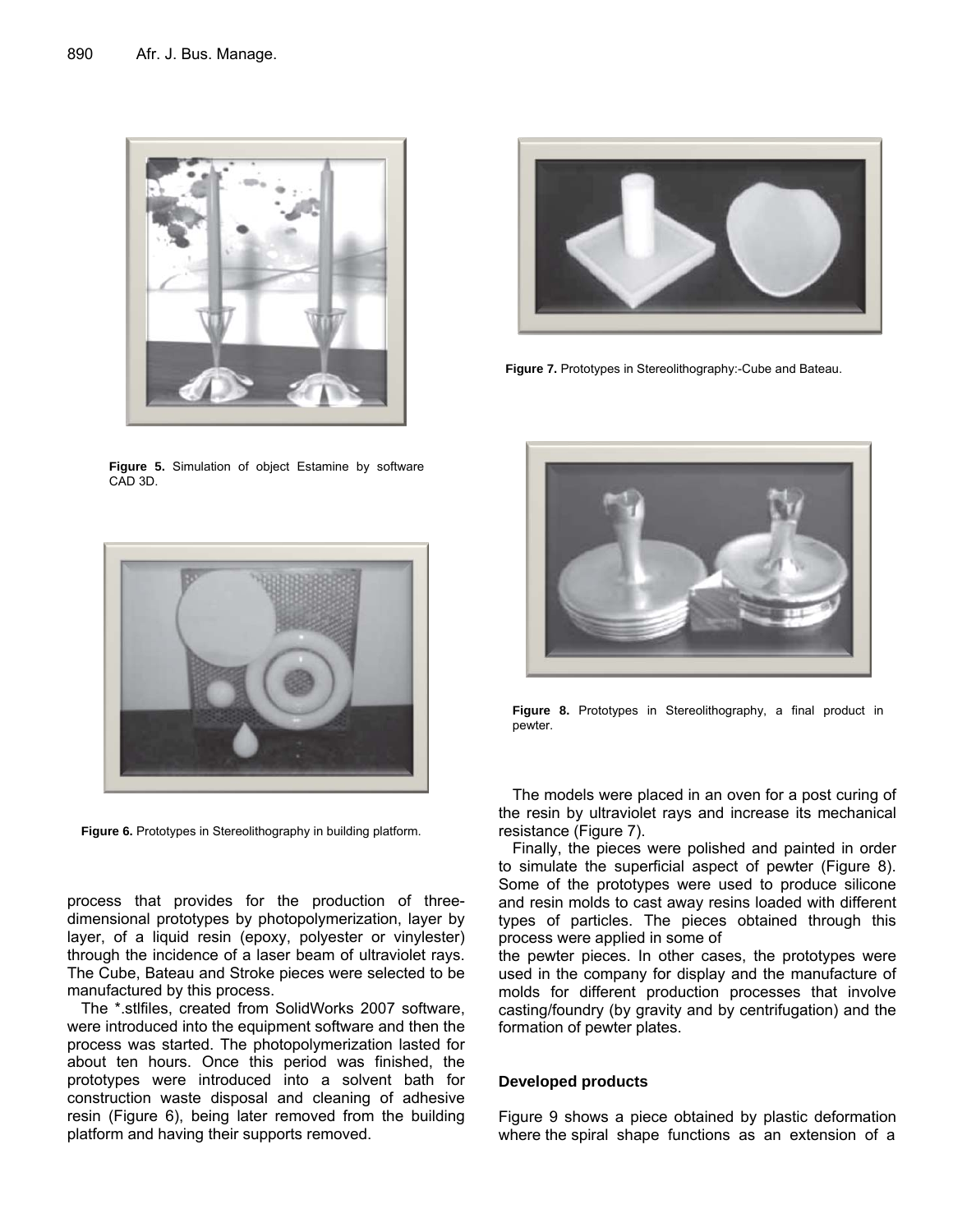

**Figure 5.** Simulation of object Estamine by software CAD 3D.



**Figure 6.** Prototypes in Stereolithography in building platform.

process that provides for the production of threedimensional prototypes by photopolymerization, layer by layer, of a liquid resin (epoxy, polyester or vinylester) through the incidence of a laser beam of ultraviolet rays. The Cube, Bateau and Stroke pieces were selected to be manufactured by this process.

The \*.stlfiles, created from SolidWorks 2007 software, were introduced into the equipment software and then the process was started. The photopolymerization lasted for about ten hours. Once this period was finished, the prototypes were introduced into a solvent bath for construction waste disposal and cleaning of adhesive resin (Figure 6), being later removed from the building platform and having their supports removed.



**Figure 7.** Prototypes in Stereolithography:-Cube and Bateau.



**Figure 8.** Prototypes in Stereolithography, a final product in pewter.

The models were placed in an oven for a post curing of the resin by ultraviolet rays and increase its mechanical resistance (Figure 7).

Finally, the pieces were polished and painted in order to simulate the superficial aspect of pewter (Figure 8). Some of the prototypes were used to produce silicone and resin molds to cast away resins loaded with different types of particles. The pieces obtained through this process were applied in some of

the pewter pieces. In other cases, the prototypes were used in the company for display and the manufacture of molds for different production processes that involve casting/foundry (by gravity and by centrifugation) and the formation of pewter plates.

# **Developed products**

Figure 9 shows a piece obtained by plastic deformation where the spiral shape functions as an extension of a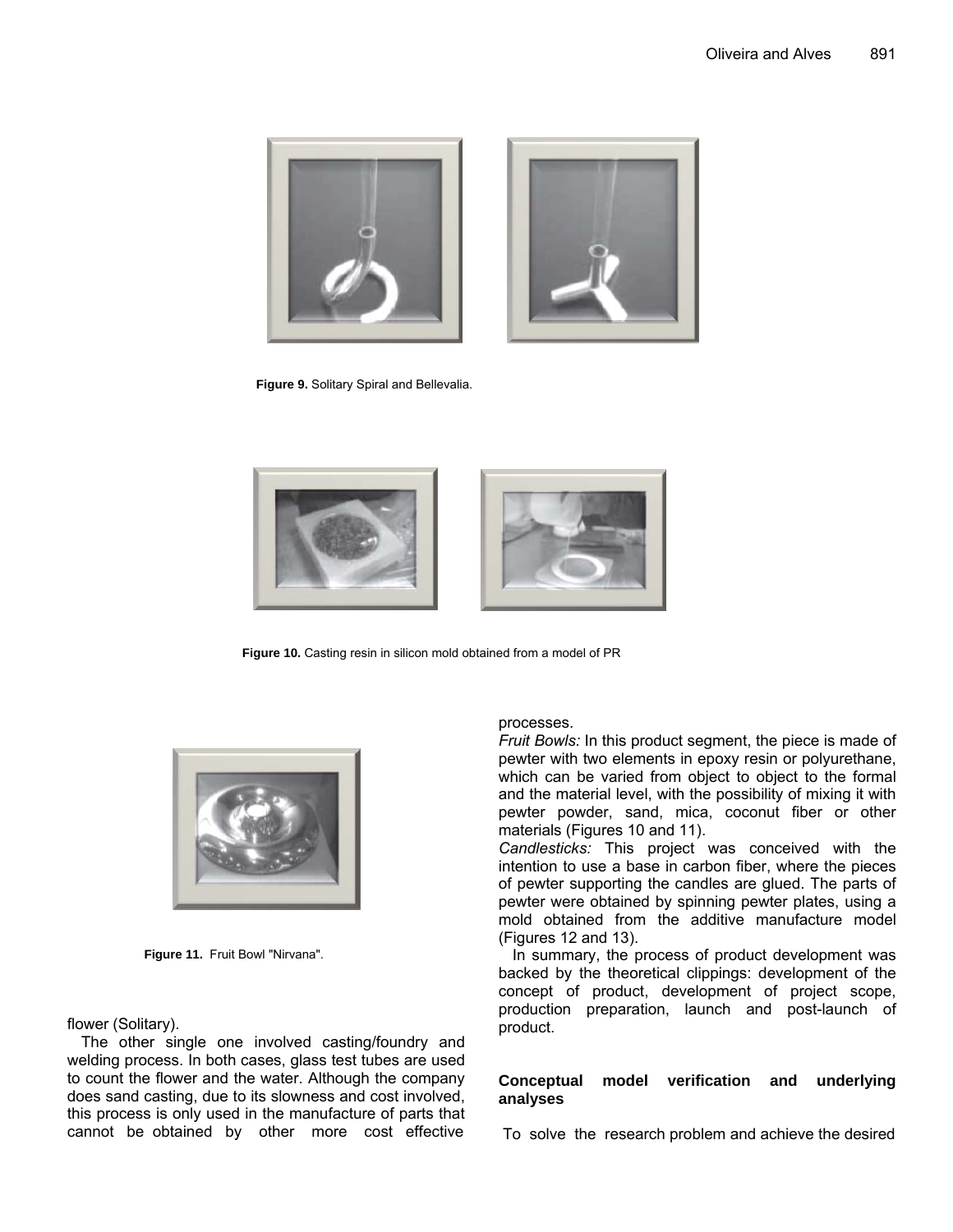

**Figure 9.** Solitary Spiral and Bellevalia.



**Figure 10.** Casting resin in silicon mold obtained from a model of PR



**Figure 11.** Fruit Bowl "Nirvana".

#### flower (Solitary).

The other single one involved casting/foundry and welding process. In both cases, glass test tubes are used to count the flower and the water. Although the company does sand casting, due to its slowness and cost involved, this process is only used in the manufacture of parts that cannot be obtained by other more cost effective

processes.

*Fruit Bowls:* In this product segment, the piece is made of pewter with two elements in epoxy resin or polyurethane, which can be varied from object to object to the formal and the material level, with the possibility of mixing it with pewter powder, sand, mica, coconut fiber or other materials (Figures 10 and 11).

*Candlesticks:* This project was conceived with the intention to use a base in carbon fiber, where the pieces of pewter supporting the candles are glued. The parts of pewter were obtained by spinning pewter plates, using a mold obtained from the additive manufacture model (Figures 12 and 13).

In summary, the process of product development was backed by the theoretical clippings: development of the concept of product, development of project scope, production preparation, launch and post-launch of product.

# **Conceptual model verification and underlying analyses**

To solve the research problem and achieve the desired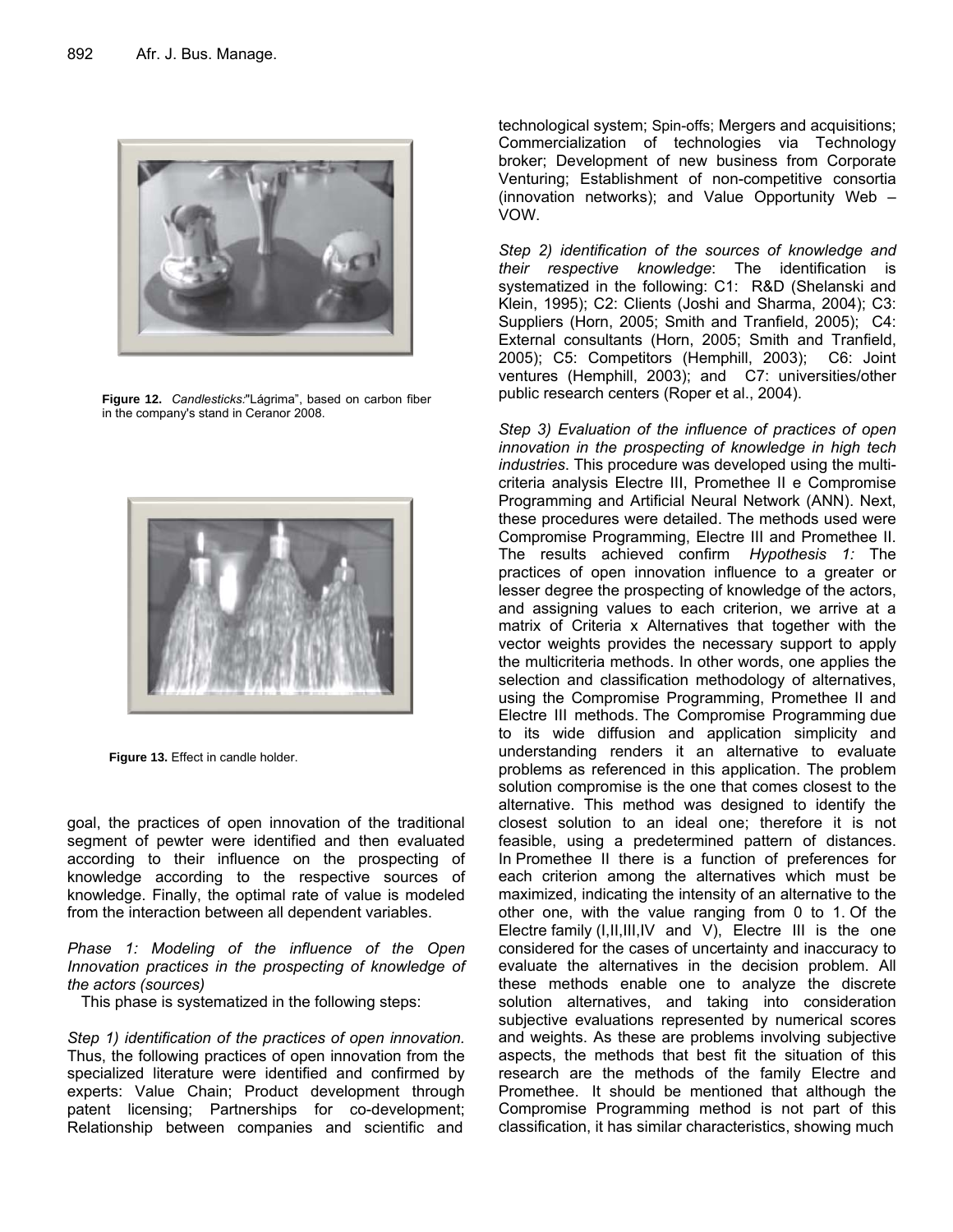

**Figure 12.** *Candlesticks:*"Lágrima", based on carbon fiber in the company's stand in Ceranor 2008.



**Figure 13.** Effect in candle holder.

goal, the practices of open innovation of the traditional segment of pewter were identified and then evaluated according to their influence on the prospecting of knowledge according to the respective sources of knowledge. Finally, the optimal rate of value is modeled from the interaction between all dependent variables.

*Phase 1: Modeling of the influence of the Open Innovation practices in the prospecting of knowledge of the actors (sources)* 

This phase is systematized in the following steps:

*Step 1) identification of the practices of open innovation.* Thus, the following practices of open innovation from the specialized literature were identified and confirmed by experts: Value Chain; Product development through patent licensing; Partnerships for co-development; Relationship between companies and scientific and

technological system; Spin-offs; Mergers and acquisitions; Commercialization of technologies via Technology broker; Development of new business from Corporate Venturing; Establishment of non-competitive consortia (innovation networks); and Value Opportunity Web – VOW.

*Step 2) identification of the sources of knowledge and their respective knowledge*: The identification is systematized in the following: C1: R&D (Shelanski and Klein, 1995); C2: Clients (Joshi and Sharma, 2004); C3: Suppliers (Horn, 2005; Smith and Tranfield, 2005); C4: External consultants (Horn, 2005; Smith and Tranfield, 2005); C5: Competitors (Hemphill, 2003); C6: Joint ventures (Hemphill, 2003); and C7: universities/other public research centers (Roper et al., 2004).

*Step 3) Evaluation of the influence of practices of open innovation in the prospecting of knowledge in high tech industries*. This procedure was developed using the multicriteria analysis Electre III, Promethee II e Compromise Programming and Artificial Neural Network (ANN). Next, these procedures were detailed. The methods used were Compromise Programming, Electre III and Promethee II. The results achieved confirm *Hypothesis 1:* The practices of open innovation influence to a greater or lesser degree the prospecting of knowledge of the actors, and assigning values to each criterion, we arrive at a matrix of Criteria x Alternatives that together with the vector weights provides the necessary support to apply the multicriteria methods. In other words, one applies the selection and classification methodology of alternatives, using the Compromise Programming, Promethee II and Electre III methods. The Compromise Programming due to its wide diffusion and application simplicity and understanding renders it an alternative to evaluate problems as referenced in this application. The problem solution compromise is the one that comes closest to the alternative. This method was designed to identify the closest solution to an ideal one; therefore it is not feasible, using a predetermined pattern of distances. In Promethee II there is a function of preferences for each criterion among the alternatives which must be maximized, indicating the intensity of an alternative to the other one, with the value ranging from 0 to 1. Of the Electre family (I,II,III,IV and V), Electre III is the one considered for the cases of uncertainty and inaccuracy to evaluate the alternatives in the decision problem. All these methods enable one to analyze the discrete solution alternatives, and taking into consideration subjective evaluations represented by numerical scores and weights. As these are problems involving subjective aspects, the methods that best fit the situation of this research are the methods of the family Electre and Promethee. It should be mentioned that although the Compromise Programming method is not part of this classification, it has similar characteristics, showing much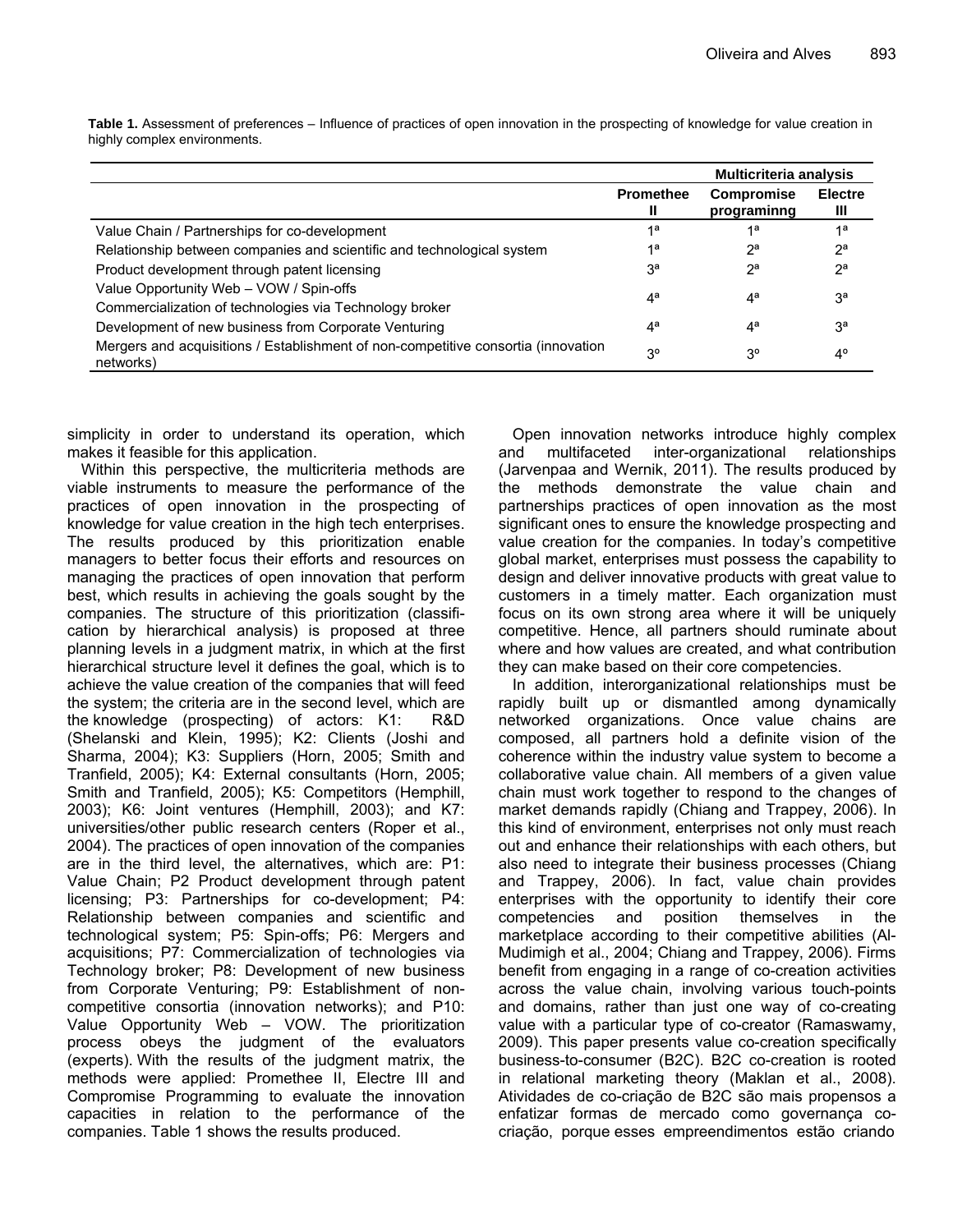|                                                                                                    |                       | <b>Multicriteria analysis</b> |                     |
|----------------------------------------------------------------------------------------------------|-----------------------|-------------------------------|---------------------|
|                                                                                                    | <b>Promethee</b><br>Ш | Compromise<br>programinng     | <b>Electre</b><br>Ш |
| Value Chain / Partnerships for co-development                                                      | 1 <sup>a</sup>        | 1ª                            | 1 <sup>a</sup>      |
| Relationship between companies and scientific and technological system                             | 1 <sup>a</sup>        | 2ª                            | $2^a$               |
| Product development through patent licensing                                                       | 3 <sup>a</sup>        | 2ª                            | $2^a$               |
| Value Opportunity Web - VOW / Spin-offs<br>Commercialization of technologies via Technology broker | $4^a$                 | $4^{\mathsf{a}}$              | 3 <sup>a</sup>      |
| Development of new business from Corporate Venturing                                               | $4^a$                 | $4^{\rm a}$                   | 3 <sup>a</sup>      |
| Mergers and acquisitions / Establishment of non-competitive consortia (innovation<br>networks)     | $3^{\circ}$           | 3°                            | $4^{\circ}$         |

**Table 1.** Assessment of preferences – Influence of practices of open innovation in the prospecting of knowledge for value creation in highly complex environments.

simplicity in order to understand its operation, which makes it feasible for this application.

Within this perspective, the multicriteria methods are viable instruments to measure the performance of the practices of open innovation in the prospecting of knowledge for value creation in the high tech enterprises. The results produced by this prioritization enable managers to better focus their efforts and resources on managing the practices of open innovation that perform best, which results in achieving the goals sought by the companies. The structure of this prioritization (classification by hierarchical analysis) is proposed at three planning levels in a judgment matrix, in which at the first hierarchical structure level it defines the goal, which is to achieve the value creation of the companies that will feed the system; the criteria are in the second level, which are the knowledge (prospecting) of actors: K1: R&D (Shelanski and Klein, 1995); K2: Clients (Joshi and Sharma, 2004); K3: Suppliers (Horn, 2005; Smith and Tranfield, 2005); K4: External consultants (Horn, 2005; Smith and Tranfield, 2005); K5: Competitors (Hemphill, 2003); K6: Joint ventures (Hemphill, 2003); and K7: universities/other public research centers (Roper et al., 2004). The practices of open innovation of the companies are in the third level, the alternatives, which are: P1: Value Chain; P2 Product development through patent licensing; P3: Partnerships for co-development; P4: Relationship between companies and scientific and technological system; P5: Spin-offs; P6: Mergers and acquisitions; P7: Commercialization of technologies via Technology broker; P8: Development of new business from Corporate Venturing; P9: Establishment of noncompetitive consortia (innovation networks); and P10: Value Opportunity Web – VOW. The prioritization process obeys the judgment of the evaluators (experts). With the results of the judgment matrix, the methods were applied: Promethee II, Electre III and Compromise Programming to evaluate the innovation capacities in relation to the performance of the companies. Table 1 shows the results produced.

Open innovation networks introduce highly complex and multifaceted inter-organizational relationships (Jarvenpaa and Wernik, 2011). The results produced by the methods demonstrate the value chain and partnerships practices of open innovation as the most significant ones to ensure the knowledge prospecting and value creation for the companies. In today's competitive global market, enterprises must possess the capability to design and deliver innovative products with great value to customers in a timely matter. Each organization must focus on its own strong area where it will be uniquely competitive. Hence, all partners should ruminate about where and how values are created, and what contribution they can make based on their core competencies.

In addition, interorganizational relationships must be rapidly built up or dismantled among dynamically networked organizations. Once value chains are composed, all partners hold a definite vision of the coherence within the industry value system to become a collaborative value chain. All members of a given value chain must work together to respond to the changes of market demands rapidly (Chiang and Trappey, 2006). In this kind of environment, enterprises not only must reach out and enhance their relationships with each others, but also need to integrate their business processes (Chiang and Trappey, 2006). In fact, value chain provides enterprises with the opportunity to identify their core competencies and position themselves in the marketplace according to their competitive abilities (Al-Mudimigh et al., 2004; Chiang and Trappey, 2006). Firms benefit from engaging in a range of co-creation activities across the value chain, involving various touch-points and domains, rather than just one way of co-creating value with a particular type of co-creator (Ramaswamy, 2009). This paper presents value co-creation specifically business-to-consumer (B2C). B2C co-creation is rooted in relational marketing theory (Maklan et al., 2008). Atividades de co-criação de B2C são mais propensos a enfatizar formas de mercado como governança cocriação, porque esses empreendimentos estão criando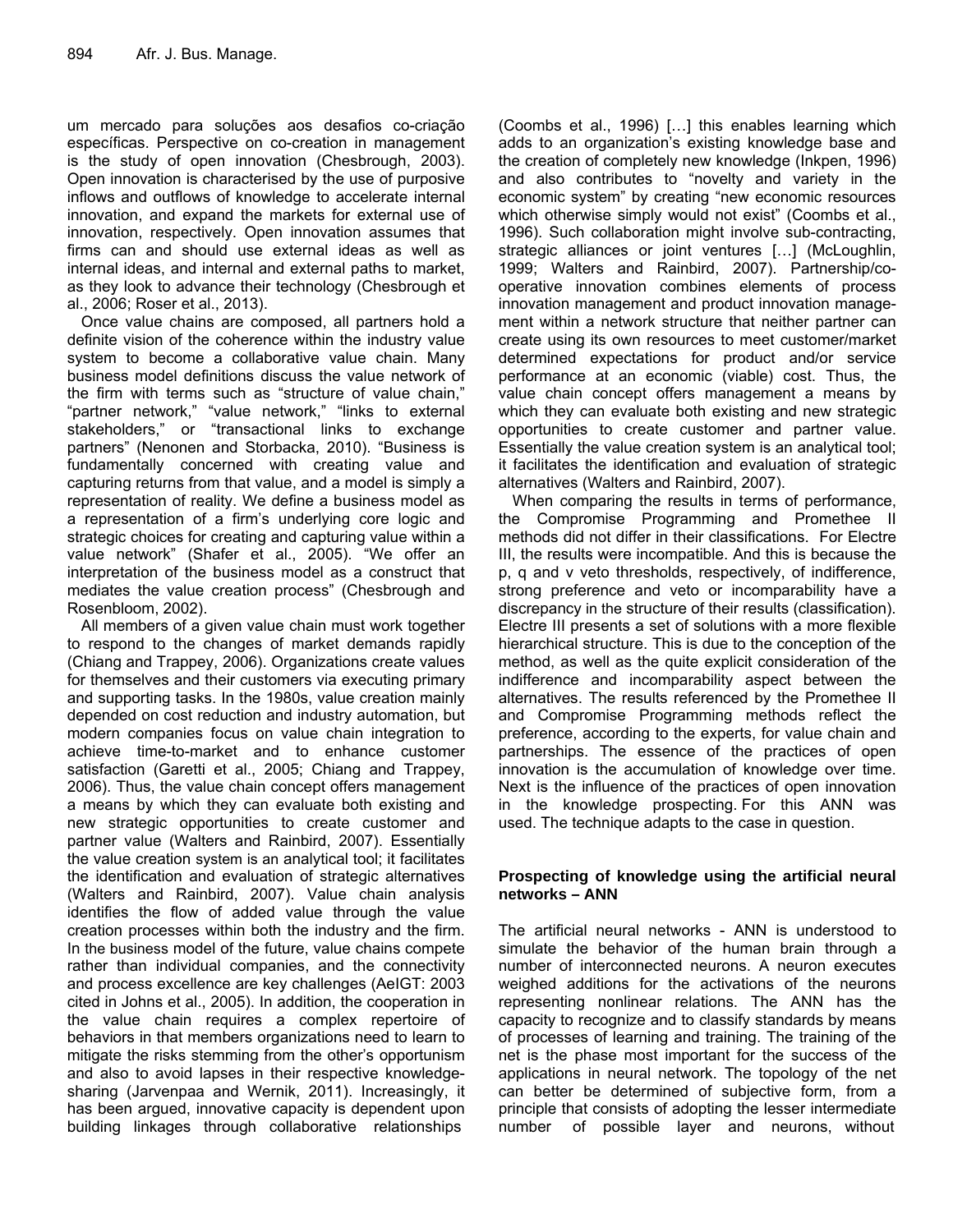um mercado para soluções aos desafios co-criação específicas. Perspective on co-creation in management is the study of open innovation (Chesbrough, 2003). Open innovation is characterised by the use of purposive inflows and outflows of knowledge to accelerate internal innovation, and expand the markets for external use of innovation, respectively. Open innovation assumes that firms can and should use external ideas as well as internal ideas, and internal and external paths to market, as they look to advance their technology (Chesbrough et al., 2006; Roser et al., 2013).

Once value chains are composed, all partners hold a definite vision of the coherence within the industry value system to become a collaborative value chain. Many business model definitions discuss the value network of the firm with terms such as "structure of value chain," "partner network," "value network," "links to external stakeholders," or "transactional links to exchange partners" (Nenonen and Storbacka, 2010). "Business is fundamentally concerned with creating value and capturing returns from that value, and a model is simply a representation of reality. We define a business model as a representation of a firm's underlying core logic and strategic choices for creating and capturing value within a value network" (Shafer et al., 2005). "We offer an interpretation of the business model as a construct that mediates the value creation process" (Chesbrough and Rosenbloom, 2002).

All members of a given value chain must work together to respond to the changes of market demands rapidly (Chiang and Trappey, 2006). Organizations create values for themselves and their customers via executing primary and supporting tasks. In the 1980s, value creation mainly depended on cost reduction and industry automation, but modern companies focus on value chain integration to achieve time-to-market and to enhance customer satisfaction (Garetti et al., 2005; Chiang and Trappey, 2006). Thus, the value chain concept offers management a means by which they can evaluate both existing and new strategic opportunities to create customer and partner value (Walters and Rainbird, 2007). Essentially the value creation system is an analytical tool; it facilitates the identification and evaluation of strategic alternatives (Walters and Rainbird, 2007). Value chain analysis identifies the flow of added value through the value creation processes within both the industry and the firm. In the business model of the future, value chains compete rather than individual companies, and the connectivity and process excellence are key challenges (AeIGT: 2003 cited in Johns et al., 2005). In addition, the cooperation in the value chain requires a complex repertoire of behaviors in that members organizations need to learn to mitigate the risks stemming from the other's opportunism and also to avoid lapses in their respective knowledgesharing (Jarvenpaa and Wernik, 2011). Increasingly, it has been argued, innovative capacity is dependent upon building linkages through collaborative relationships

(Coombs et al., 1996) […] this enables learning which adds to an organization's existing knowledge base and the creation of completely new knowledge (Inkpen, 1996) and also contributes to "novelty and variety in the economic system" by creating "new economic resources which otherwise simply would not exist" (Coombs et al., 1996). Such collaboration might involve sub-contracting, strategic alliances or joint ventures […] (McLoughlin, 1999; Walters and Rainbird, 2007). Partnership/cooperative innovation combines elements of process innovation management and product innovation management within a network structure that neither partner can create using its own resources to meet customer/market determined expectations for product and/or service performance at an economic (viable) cost. Thus, the value chain concept offers management a means by which they can evaluate both existing and new strategic opportunities to create customer and partner value. Essentially the value creation system is an analytical tool; it facilitates the identification and evaluation of strategic alternatives (Walters and Rainbird, 2007).

When comparing the results in terms of performance, the Compromise Programming and Promethee II methods did not differ in their classifications. For Electre III, the results were incompatible. And this is because the p, q and v veto thresholds, respectively, of indifference, strong preference and veto or incomparability have a discrepancy in the structure of their results (classification). Electre III presents a set of solutions with a more flexible hierarchical structure. This is due to the conception of the method, as well as the quite explicit consideration of the indifference and incomparability aspect between the alternatives. The results referenced by the Promethee II and Compromise Programming methods reflect the preference, according to the experts, for value chain and partnerships. The essence of the practices of open innovation is the accumulation of knowledge over time. Next is the influence of the practices of open innovation in the knowledge prospecting. For this ANN was used. The technique adapts to the case in question.

# **Prospecting of knowledge using the artificial neural networks – ANN**

The artificial neural networks - ANN is understood to simulate the behavior of the human brain through a number of interconnected neurons. A neuron executes weighed additions for the activations of the neurons representing nonlinear relations. The ANN has the capacity to recognize and to classify standards by means of processes of learning and training. The training of the net is the phase most important for the success of the applications in neural network. The topology of the net can better be determined of subjective form, from a principle that consists of adopting the lesser intermediate number of possible layer and neurons, without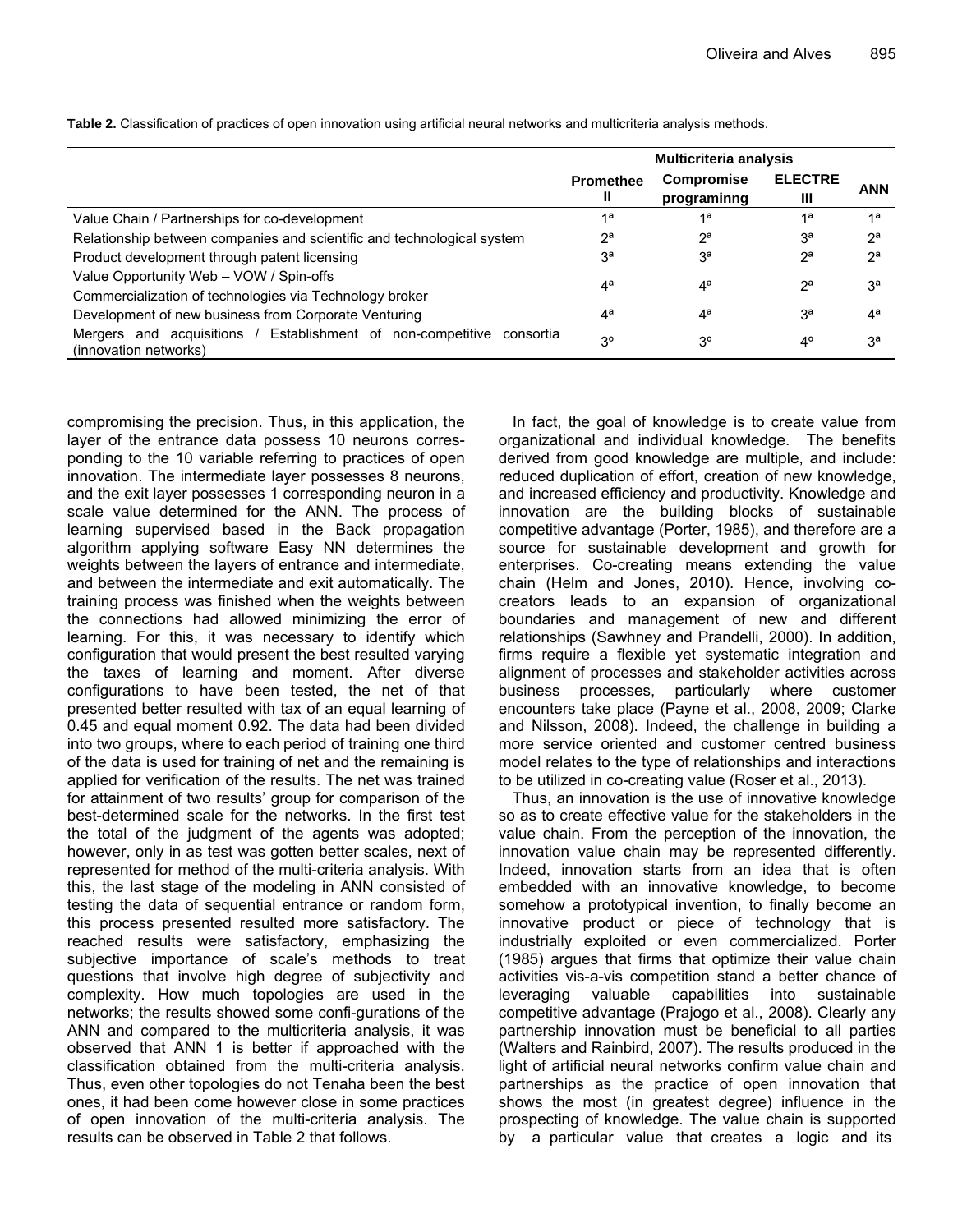|                                                                                                    | <b>Multicriteria analysis</b> |                                  |                     |                |  |
|----------------------------------------------------------------------------------------------------|-------------------------------|----------------------------------|---------------------|----------------|--|
|                                                                                                    | <b>Promethee</b><br>Ш         | <b>Compromise</b><br>programinng | <b>ELECTRE</b><br>Ш | <b>ANN</b>     |  |
| Value Chain / Partnerships for co-development                                                      | 1a                            | 1 <sup>a</sup>                   | 1a                  | 4а             |  |
| Relationship between companies and scientific and technological system                             | $2^a$                         | $2^a$                            | 3 <sup>a</sup>      | $2^a$          |  |
| Product development through patent licensing                                                       | 3 <sup>a</sup>                | 3 <sup>a</sup>                   | $2^a$               | $2^a$          |  |
| Value Opportunity Web - VOW / Spin-offs<br>Commercialization of technologies via Technology broker | $4^a$                         | $4^a$                            | $2^a$               | 3 <sup>a</sup> |  |
| Development of new business from Corporate Venturing                                               | $4^a$                         | $4^a$                            | 3 <sup>a</sup>      | $4^a$          |  |
| Mergers and acquisitions / Establishment of non-competitive consortia<br>(innovation networks)     | $3^{\circ}$                   | $3^{\circ}$                      | $4^{\circ}$         | 3 <sup>a</sup> |  |

**Table 2.** Classification of practices of open innovation using artificial neural networks and multicriteria analysis methods.

compromising the precision. Thus, in this application, the layer of the entrance data possess 10 neurons corresponding to the 10 variable referring to practices of open innovation. The intermediate layer possesses 8 neurons, and the exit layer possesses 1 corresponding neuron in a scale value determined for the ANN. The process of learning supervised based in the Back propagation algorithm applying software Easy NN determines the weights between the layers of entrance and intermediate, and between the intermediate and exit automatically. The training process was finished when the weights between the connections had allowed minimizing the error of learning. For this, it was necessary to identify which configuration that would present the best resulted varying the taxes of learning and moment. After diverse configurations to have been tested, the net of that presented better resulted with tax of an equal learning of 0.45 and equal moment 0.92. The data had been divided into two groups, where to each period of training one third of the data is used for training of net and the remaining is applied for verification of the results. The net was trained for attainment of two results' group for comparison of the best-determined scale for the networks. In the first test the total of the judgment of the agents was adopted; however, only in as test was gotten better scales, next of represented for method of the multi-criteria analysis. With this, the last stage of the modeling in ANN consisted of testing the data of sequential entrance or random form, this process presented resulted more satisfactory. The reached results were satisfactory, emphasizing the subjective importance of scale's methods to treat questions that involve high degree of subjectivity and complexity. How much topologies are used in the networks; the results showed some confi-gurations of the ANN and compared to the multicriteria analysis, it was observed that ANN 1 is better if approached with the classification obtained from the multi-criteria analysis. Thus, even other topologies do not Tenaha been the best ones, it had been come however close in some practices of open innovation of the multi-criteria analysis. The results can be observed in Table 2 that follows.

In fact, the goal of knowledge is to create value from organizational and individual knowledge. The benefits derived from good knowledge are multiple, and include: reduced duplication of effort, creation of new knowledge, and increased efficiency and productivity. Knowledge and innovation are the building blocks of sustainable competitive advantage (Porter, 1985), and therefore are a source for sustainable development and growth for enterprises. Co-creating means extending the value chain (Helm and Jones, 2010). Hence, involving cocreators leads to an expansion of organizational boundaries and management of new and different relationships (Sawhney and Prandelli, 2000). In addition, firms require a flexible yet systematic integration and alignment of processes and stakeholder activities across business processes, particularly where customer encounters take place (Payne et al., 2008, 2009; Clarke and Nilsson, 2008). Indeed, the challenge in building a more service oriented and customer centred business model relates to the type of relationships and interactions to be utilized in co-creating value (Roser et al., 2013).

Thus, an innovation is the use of innovative knowledge so as to create effective value for the stakeholders in the value chain. From the perception of the innovation, the innovation value chain may be represented differently. Indeed, innovation starts from an idea that is often embedded with an innovative knowledge, to become somehow a prototypical invention, to finally become an innovative product or piece of technology that is industrially exploited or even commercialized. Porter (1985) argues that firms that optimize their value chain activities vis-a-vis competition stand a better chance of leveraging valuable capabilities into sustainable competitive advantage (Prajogo et al., 2008). Clearly any partnership innovation must be beneficial to all parties (Walters and Rainbird, 2007). The results produced in the light of artificial neural networks confirm value chain and partnerships as the practice of open innovation that shows the most (in greatest degree) influence in the prospecting of knowledge. The value chain is supported by a particular value that creates a logic and its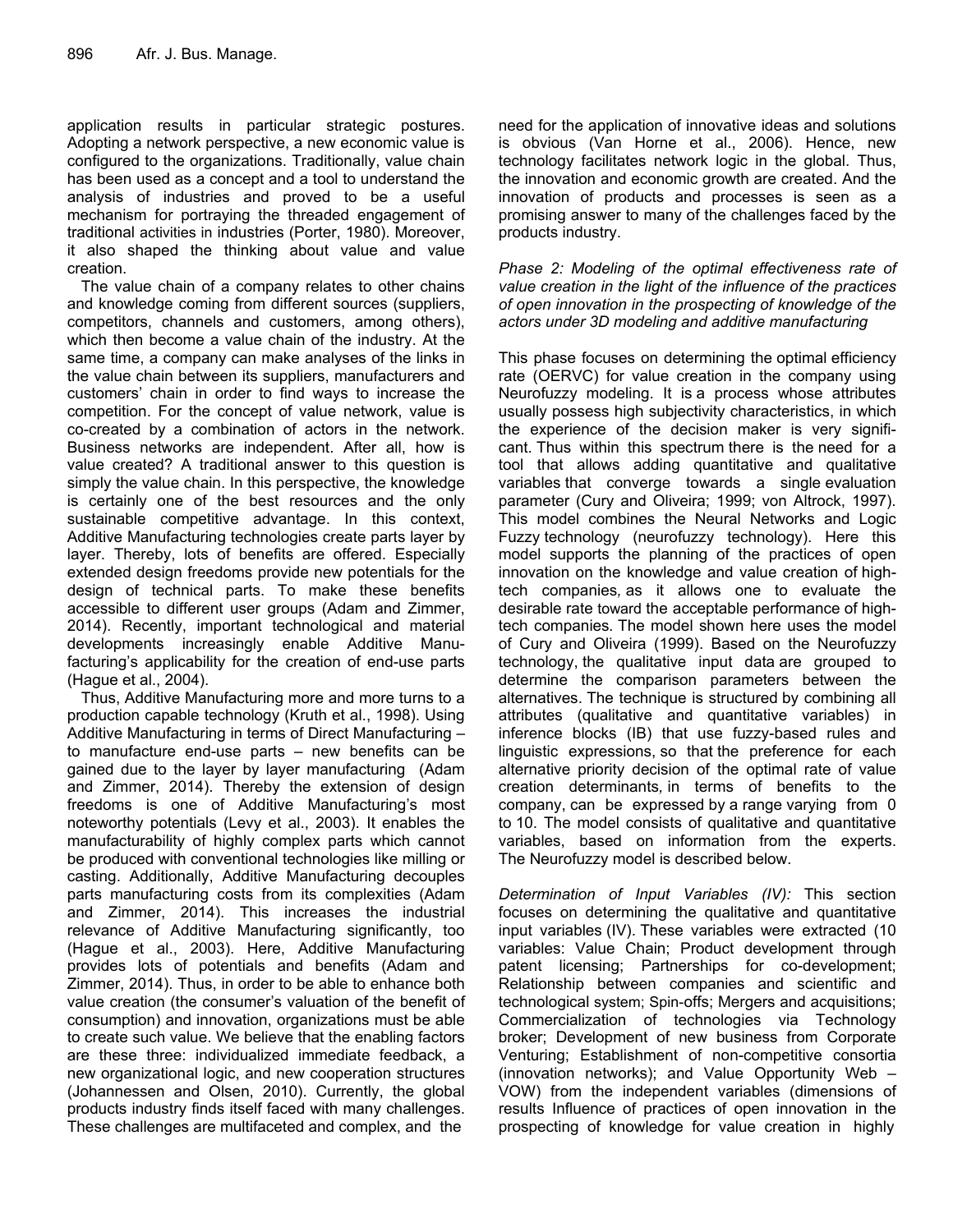application results in particular strategic postures. Adopting a network perspective, a new economic value is configured to the organizations. Traditionally, value chain has been used as a concept and a tool to understand the analysis of industries and proved to be a useful mechanism for portraying the threaded engagement of traditional activities in industries (Porter, 1980). Moreover, it also shaped the thinking about value and value creation.

The value chain of a company relates to other chains and knowledge coming from different sources (suppliers, competitors, channels and customers, among others), which then become a value chain of the industry. At the same time, a company can make analyses of the links in the value chain between its suppliers, manufacturers and customers' chain in order to find ways to increase the competition. For the concept of value network, value is co-created by a combination of actors in the network. Business networks are independent. After all, how is value created? A traditional answer to this question is simply the value chain. In this perspective, the knowledge is certainly one of the best resources and the only sustainable competitive advantage. In this context, Additive Manufacturing technologies create parts layer by layer. Thereby, lots of benefits are offered. Especially extended design freedoms provide new potentials for the design of technical parts. To make these benefits accessible to different user groups (Adam and Zimmer, 2014). Recently, important technological and material developments increasingly enable Additive Manufacturing's applicability for the creation of end-use parts (Hague et al., 2004).

Thus, Additive Manufacturing more and more turns to a production capable technology (Kruth et al., 1998). Using Additive Manufacturing in terms of Direct Manufacturing – to manufacture end-use parts – new benefits can be gained due to the layer by layer manufacturing (Adam and Zimmer, 2014). Thereby the extension of design freedoms is one of Additive Manufacturing's most noteworthy potentials (Levy et al., 2003). It enables the manufacturability of highly complex parts which cannot be produced with conventional technologies like milling or casting. Additionally, Additive Manufacturing decouples parts manufacturing costs from its complexities (Adam and Zimmer, 2014). This increases the industrial relevance of Additive Manufacturing significantly, too (Hague et al., 2003). Here, Additive Manufacturing provides lots of potentials and benefits (Adam and Zimmer, 2014). Thus, in order to be able to enhance both value creation (the consumer's valuation of the benefit of consumption) and innovation, organizations must be able to create such value. We believe that the enabling factors are these three: individualized immediate feedback, a new organizational logic, and new cooperation structures (Johannessen and Olsen, 2010). Currently, the global products industry finds itself faced with many challenges. These challenges are multifaceted and complex, and the

need for the application of innovative ideas and solutions is obvious (Van Horne et al., 2006). Hence, new technology facilitates network logic in the global. Thus, the innovation and economic growth are created. And the innovation of products and processes is seen as a promising answer to many of the challenges faced by the products industry.

# *Phase 2: Modeling of the optimal effectiveness rate of value creation in the light of the influence of the practices of open innovation in the prospecting of knowledge of the actors under 3D modeling and additive manufacturing*

This phase focuses on determining the optimal efficiency rate (OERVC) for value creation in the company using Neurofuzzy modeling. It is a process whose attributes usually possess high subjectivity characteristics, in which the experience of the decision maker is very significant. Thus within this spectrum there is the need for a tool that allows adding quantitative and qualitative variables that converge towards a single evaluation parameter (Cury and Oliveira; 1999; von Altrock, 1997). This model combines the Neural Networks and Logic Fuzzy technology (neurofuzzy technology). Here this model supports the planning of the practices of open innovation on the knowledge and value creation of hightech companies*,* as it allows one to evaluate the desirable rate toward the acceptable performance of hightech companies*.* The model shown here uses the model of Cury and Oliveira (1999). Based on the Neurofuzzy technology, the qualitative input data are grouped to determine the comparison parameters between the alternatives. The technique is structured by combining all attributes (qualitative and quantitative variables) in inference blocks (IB) that use fuzzy-based rules and linguistic expressions, so that the preference for each alternative priority decision of the optimal rate of value creation determinants*,* in terms of benefits to the company, can be expressed by a range varying from 0 to 10. The model consists of qualitative and quantitative variables, based on information from the experts. The Neurofuzzy model is described below*.*

*Determination of Input Variables (IV):* This section focuses on determining the qualitative and quantitative input variables (IV). These variables were extracted (10 variables: Value Chain; Product development through patent licensing; Partnerships for co-development; Relationship between companies and scientific and technological system; Spin-offs; Mergers and acquisitions; Commercialization of technologies via Technology broker; Development of new business from Corporate Venturing; Establishment of non-competitive consortia (innovation networks); and Value Opportunity Web – VOW) from the independent variables (dimensions of results Influence of practices of open innovation in the prospecting of knowledge for value creation in highly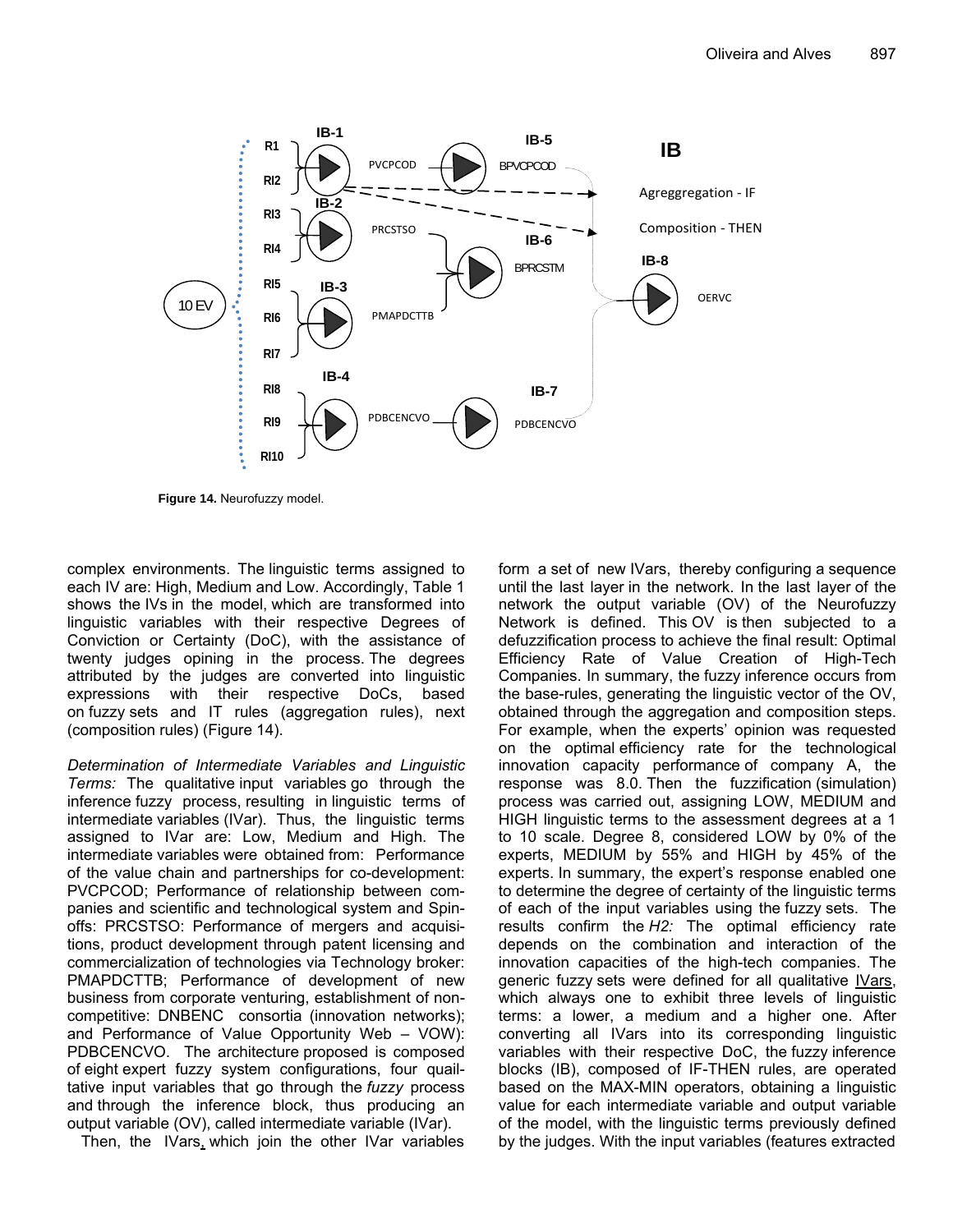

**Figure 14.** Neurofuzzy model.

complex environments. The linguistic terms assigned to each IV are: High, Medium and Low. Accordingly, Table 1 shows the IVs in the model, which are transformed into linguistic variables with their respective Degrees of Conviction or Certainty (DoC), with the assistance of twenty judges opining in the process. The degrees attributed by the judges are converted into linguistic expressions with their respective DoCs, based on fuzzy sets and IT rules (aggregation rules), next (composition rules) (Figure 14).

*Determination of Intermediate Variables and Linguistic Terms:* The qualitative input variables go through the inference fuzzy process, resulting in linguistic terms of intermediate variables (IVar). Thus, the linguistic terms assigned to IVar are: Low, Medium and High. The intermediate variables were obtained from: Performance of the value chain and partnerships for co-development: PVCPCOD; Performance of relationship between companies and scientific and technological system and Spinoffs: PRCSTSO: Performance of mergers and acquisitions, product development through patent licensing and commercialization of technologies via Technology broker: PMAPDCTTB; Performance of development of new business from corporate venturing, establishment of noncompetitive: DNBENC consortia (innovation networks); and Performance of Value Opportunity Web – VOW): PDBCENCVO. The architecture proposed is composed of eight expert fuzzy system configurations, four quailtative input variables that go through the *fuzzy* process and through the inference block, thus producing an output variable (OV), called intermediate variable (IVar).

Then, the IVars, which join the other IVar variables

form a set of new IVars, thereby configuring a sequence until the last layer in the network. In the last layer of the network the output variable (OV) of the Neurofuzzy Network is defined. This OV is then subjected to a defuzzification process to achieve the final result: Optimal Efficiency Rate of Value Creation of High-Tech Companies. In summary, the fuzzy inference occurs from the base-rules, generating the linguistic vector of the OV, obtained through the aggregation and composition steps. For example, when the experts' opinion was requested on the optimal efficiency rate for the technological innovation capacity performance of company A, the response was 8.0. Then the fuzzification (simulation) process was carried out, assigning LOW, MEDIUM and HIGH linguistic terms to the assessment degrees at a 1 to 10 scale. Degree 8, considered LOW by 0% of the experts, MEDIUM by 55% and HIGH by 45% of the experts. In summary, the expert's response enabled one to determine the degree of certainty of the linguistic terms of each of the input variables using the fuzzy sets. The results confirm the *H2:* The optimal efficiency rate depends on the combination and interaction of the innovation capacities of the high-tech companies. The generic fuzzy sets were defined for all qualitative IVars, which always one to exhibit three levels of linguistic terms: a lower, a medium and a higher one. After converting all IVars into its corresponding linguistic variables with their respective DoC, the fuzzy inference blocks (IB), composed of IF-THEN rules, are operated based on the MAX-MIN operators, obtaining a linguistic value for each intermediate variable and output variable of the model, with the linguistic terms previously defined by the judges. With the input variables (features extracted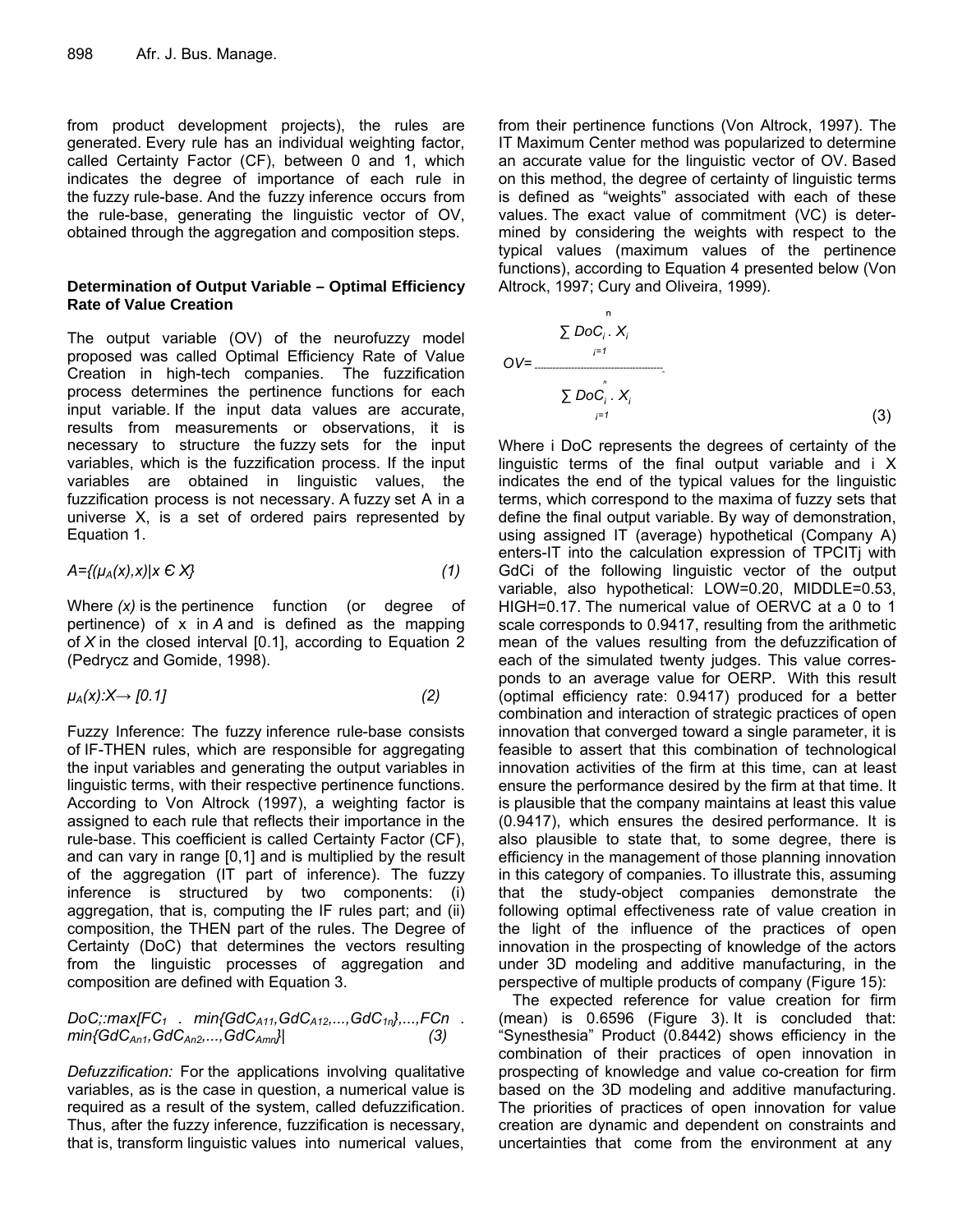from product development projects), the rules are generated. Every rule has an individual weighting factor, called Certainty Factor (CF), between 0 and 1, which indicates the degree of importance of each rule in the fuzzy rule-base. And the fuzzy inference occurs from the rule-base, generating the linguistic vector of OV, obtained through the aggregation and composition steps.

# **Determination of Output Variable – Optimal Efficiency Rate of Value Creation**

The output variable (OV) of the neurofuzzy model proposed was called Optimal Efficiency Rate of Value Creation in high-tech companies. The fuzzification process determines the pertinence functions for each input variable. If the input data values are accurate, results from measurements or observations, it is necessary to structure the fuzzy sets for the input variables, which is the fuzzification process. If the input variables are obtained in linguistic values, the fuzzification process is not necessary. A fuzzy set A in a universe X, is a set of ordered pairs represented by Equation 1.

$$
A = \{ (\mu_A(x), x) | x \in X \}
$$
 (1)

Where *(x)* is the pertinence function (or degree of pertinence) of x in *A* and is defined as the mapping of *X* in the closed interval [0.1], according to Equation 2 (Pedrycz and Gomide, 1998).

$$
\mu_A(x):X\to [0.1] \tag{2}
$$

Fuzzy Inference: The fuzzy inference rule-base consists of IF-THEN rules, which are responsible for aggregating the input variables and generating the output variables in linguistic terms, with their respective pertinence functions. According to Von Altrock (1997), a weighting factor is assigned to each rule that reflects their importance in the rule-base. This coefficient is called Certainty Factor (CF), and can vary in range [0,1] and is multiplied by the result of the aggregation (IT part of inference). The fuzzy inference is structured by two components: (i) aggregation, that is, computing the IF rules part; and (ii) composition, the THEN part of the rules. The Degree of Certainty (DoC) that determines the vectors resulting from the linguistic processes of aggregation and composition are defined with Equation 3.

$$
Doc; max[FC1 . min{GdCA11, GdCA12,...,GdC1n},...,FCn .min{GdCAn1, GdCAn2,...,GdCAmn} | (3)
$$

*Defuzzification:* For the applications involving qualitative variables, as is the case in question, a numerical value is required as a result of the system, called defuzzification. Thus, after the fuzzy inference, fuzzification is necessary, that is, transform linguistic values into numerical values,

from their pertinence functions (Von Altrock, 1997). The IT Maximum Center method was popularized to determine an accurate value for the linguistic vector of OV. Based on this method, the degree of certainty of linguistic terms is defined as "weights" associated with each of these values. The exact value of commitment (VC) is determined by considering the weights with respect to the typical values (maximum values of the pertinence functions), according to Equation 4 presented below (Von Altrock, 1997; Cury and Oliveira, 1999).

$$
\sum \text{DoC}_{i} \cdot X_{i}
$$
\n
$$
OV = \frac{\sum_{i=1}^{n} D_{i}C_{i} \cdot X_{i}}{\sum_{i=1}^{n} D_{i}C_{i} \cdot X_{i}}
$$
\n(3)

Where i DoC represents the degrees of certainty of the linguistic terms of the final output variable and i X indicates the end of the typical values for the linguistic terms, which correspond to the maxima of fuzzy sets that define the final output variable. By way of demonstration, using assigned IT (average) hypothetical (Company A) enters-IT into the calculation expression of TPCITj with GdCi of the following linguistic vector of the output variable, also hypothetical: LOW=0.20, MIDDLE=0.53, HIGH=0.17. The numerical value of OERVC at a 0 to 1 scale corresponds to 0.9417, resulting from the arithmetic mean of the values resulting from the defuzzification of each of the simulated twenty judges. This value corresponds to an average value for OERP. With this result (optimal efficiency rate: 0.9417) produced for a better combination and interaction of strategic practices of open innovation that converged toward a single parameter, it is feasible to assert that this combination of technological innovation activities of the firm at this time, can at least ensure the performance desired by the firm at that time. It is plausible that the company maintains at least this value (0.9417), which ensures the desired performance. It is also plausible to state that, to some degree, there is efficiency in the management of those planning innovation in this category of companies. To illustrate this, assuming that the study-object companies demonstrate the following optimal effectiveness rate of value creation in the light of the influence of the practices of open innovation in the prospecting of knowledge of the actors under 3D modeling and additive manufacturing, in the perspective of multiple products of company (Figure 15):

The expected reference for value creation for firm (mean) is 0.6596 (Figure 3). It is concluded that: "Synesthesia" Product (0.8442) shows efficiency in the combination of their practices of open innovation in prospecting of knowledge and value co-creation for firm based on the 3D modeling and additive manufacturing. The priorities of practices of open innovation for value creation are dynamic and dependent on constraints and uncertainties that come from the environment at any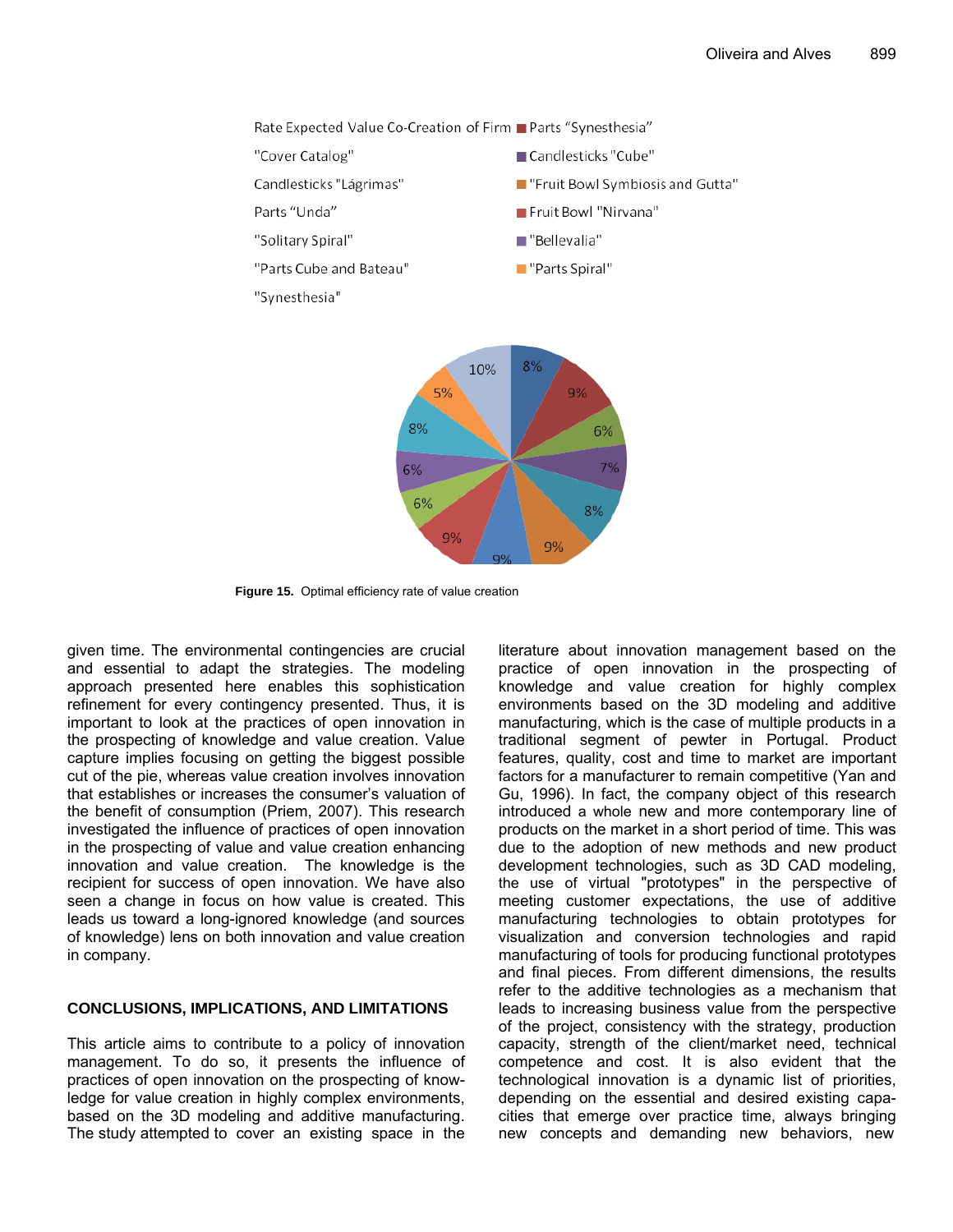Rate Expected Value Co-Creation of Firm Parts "Synesthesia"

Candlesticks "Cube"

Fruit Bowl "Nirvana"

■ "Bellevalia"

■ "Parts Spiral"

■ "Fruit Bowl Symbiosis and Gutta"

- "Cover Catalog"
- Candlesticks "Lágrimas"
- Parts "Unda"
- "Solitary Spiral"
- "Parts Cube and Bateau"
- "Synesthesia"



**Figure 15.** Optimal efficiency rate of value creation

given time. The environmental contingencies are crucial and essential to adapt the strategies. The modeling approach presented here enables this sophistication refinement for every contingency presented. Thus, it is important to look at the practices of open innovation in the prospecting of knowledge and value creation. Value capture implies focusing on getting the biggest possible cut of the pie, whereas value creation involves innovation that establishes or increases the consumer's valuation of the benefit of consumption (Priem, 2007). This research investigated the influence of practices of open innovation in the prospecting of value and value creation enhancing innovation and value creation. The knowledge is the recipient for success of open innovation. We have also seen a change in focus on how value is created. This leads us toward a long-ignored knowledge (and sources of knowledge) lens on both innovation and value creation in company.

# **CONCLUSIONS, IMPLICATIONS, AND LIMITATIONS**

This article aims to contribute to a policy of innovation management. To do so, it presents the influence of practices of open innovation on the prospecting of knowledge for value creation in highly complex environments, based on the 3D modeling and additive manufacturing. The study attempted to cover an existing space in the literature about innovation management based on the practice of open innovation in the prospecting of knowledge and value creation for highly complex environments based on the 3D modeling and additive manufacturing, which is the case of multiple products in a traditional segment of pewter in Portugal. Product features, quality, cost and time to market are important factors for a manufacturer to remain competitive (Yan and Gu, 1996). In fact, the company object of this research introduced a whole new and more contemporary line of products on the market in a short period of time. This was due to the adoption of new methods and new product development technologies, such as 3D CAD modeling, the use of virtual "prototypes" in the perspective of meeting customer expectations, the use of additive manufacturing technologies to obtain prototypes for visualization and conversion technologies and rapid manufacturing of tools for producing functional prototypes and final pieces. From different dimensions, the results refer to the additive technologies as a mechanism that leads to increasing business value from the perspective of the project, consistency with the strategy, production capacity, strength of the client/market need, technical competence and cost. It is also evident that the technological innovation is a dynamic list of priorities, depending on the essential and desired existing capacities that emerge over practice time, always bringing new concepts and demanding new behaviors, new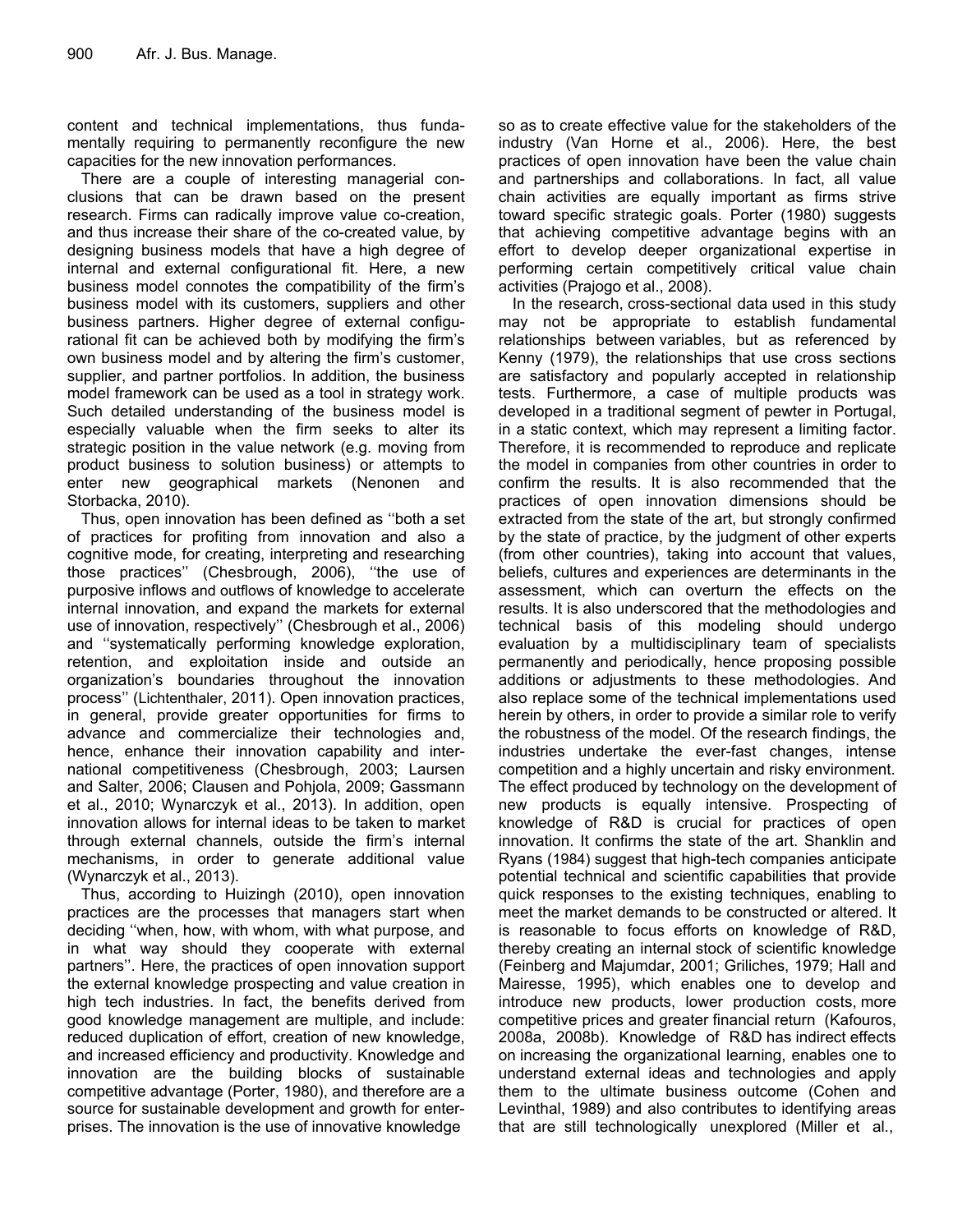content and technical implementations, thus fundamentally requiring to permanently reconfigure the new capacities for the new innovation performances.

There are a couple of interesting managerial conclusions that can be drawn based on the present research. Firms can radically improve value co-creation, and thus increase their share of the co-created value, by designing business models that have a high degree of internal and external configurational fit. Here, a new business model connotes the compatibility of the firm's business model with its customers, suppliers and other business partners. Higher degree of external configurational fit can be achieved both by modifying the firm's own business model and by altering the firm's customer, supplier, and partner portfolios. In addition, the business model framework can be used as a tool in strategy work. Such detailed understanding of the business model is especially valuable when the firm seeks to alter its strategic position in the value network (e.g. moving from product business to solution business) or attempts to enter new geographical markets (Nenonen and Storbacka, 2010).

Thus, open innovation has been defined as ''both a set of practices for profiting from innovation and also a cognitive mode, for creating, interpreting and researching those practices'' (Chesbrough, 2006), ''the use of purposive inflows and outflows of knowledge to accelerate internal innovation, and expand the markets for external use of innovation, respectively'' (Chesbrough et al., 2006) and ''systematically performing knowledge exploration, retention, and exploitation inside and outside an organization's boundaries throughout the innovation process'' (Lichtenthaler, 2011). Open innovation practices, in general, provide greater opportunities for firms to advance and commercialize their technologies and, hence, enhance their innovation capability and international competitiveness (Chesbrough, 2003; Laursen and Salter, 2006; Clausen and Pohjola, 2009; Gassmann et al., 2010; Wynarczyk et al., 2013). In addition, open innovation allows for internal ideas to be taken to market through external channels, outside the firm's internal mechanisms, in order to generate additional value (Wynarczyk et al., 2013).

Thus, according to Huizingh (2010), open innovation practices are the processes that managers start when deciding ''when, how, with whom, with what purpose, and in what way should they cooperate with external partners''. Here, the practices of open innovation support the external knowledge prospecting and value creation in high tech industries. In fact, the benefits derived from good knowledge management are multiple, and include: reduced duplication of effort, creation of new knowledge, and increased efficiency and productivity. Knowledge and innovation are the building blocks of sustainable competitive advantage (Porter, 1980), and therefore are a source for sustainable development and growth for enterprises. The innovation is the use of innovative knowledge

so as to create effective value for the stakeholders of the industry (Van Horne et al., 2006). Here, the best practices of open innovation have been the value chain and partnerships and collaborations. In fact, all value chain activities are equally important as firms strive toward specific strategic goals. Porter (1980) suggests that achieving competitive advantage begins with an effort to develop deeper organizational expertise in performing certain competitively critical value chain activities (Prajogo et al., 2008).

In the research, cross-sectional data used in this study may not be appropriate to establish fundamental relationships between variables, but as referenced by Kenny (1979), the relationships that use cross sections are satisfactory and popularly accepted in relationship tests. Furthermore, a case of multiple products was developed in a traditional segment of pewter in Portugal, in a static context, which may represent a limiting factor. Therefore, it is recommended to reproduce and replicate the model in companies from other countries in order to confirm the results. It is also recommended that the practices of open innovation dimensions should be extracted from the state of the art, but strongly confirmed by the state of practice, by the judgment of other experts (from other countries), taking into account that values, beliefs, cultures and experiences are determinants in the assessment, which can overturn the effects on the results. It is also underscored that the methodologies and technical basis of this modeling should undergo evaluation by a multidisciplinary team of specialists permanently and periodically, hence proposing possible additions or adjustments to these methodologies. And also replace some of the technical implementations used herein by others, in order to provide a similar role to verify the robustness of the model. Of the research findings, the industries undertake the ever-fast changes, intense competition and a highly uncertain and risky environment. The effect produced by technology on the development of new products is equally intensive. Prospecting of knowledge of R&D is crucial for practices of open innovation. It confirms the state of the art. Shanklin and Ryans (1984) suggest that high-tech companies anticipate potential technical and scientific capabilities that provide quick responses to the existing techniques, enabling to meet the market demands to be constructed or altered. It is reasonable to focus efforts on knowledge of R&D, thereby creating an internal stock of scientific knowledge (Feinberg and Majumdar, 2001; Griliches, 1979; Hall and Mairesse, 1995), which enables one to develop and introduce new products, lower production costs, more competitive prices and greater financial return (Kafouros, 2008a, 2008b). Knowledge of R&D has indirect effects on increasing the organizational learning, enables one to understand external ideas and technologies and apply them to the ultimate business outcome (Cohen and Levinthal, 1989) and also contributes to identifying areas that are still technologically unexplored (Miller et al.,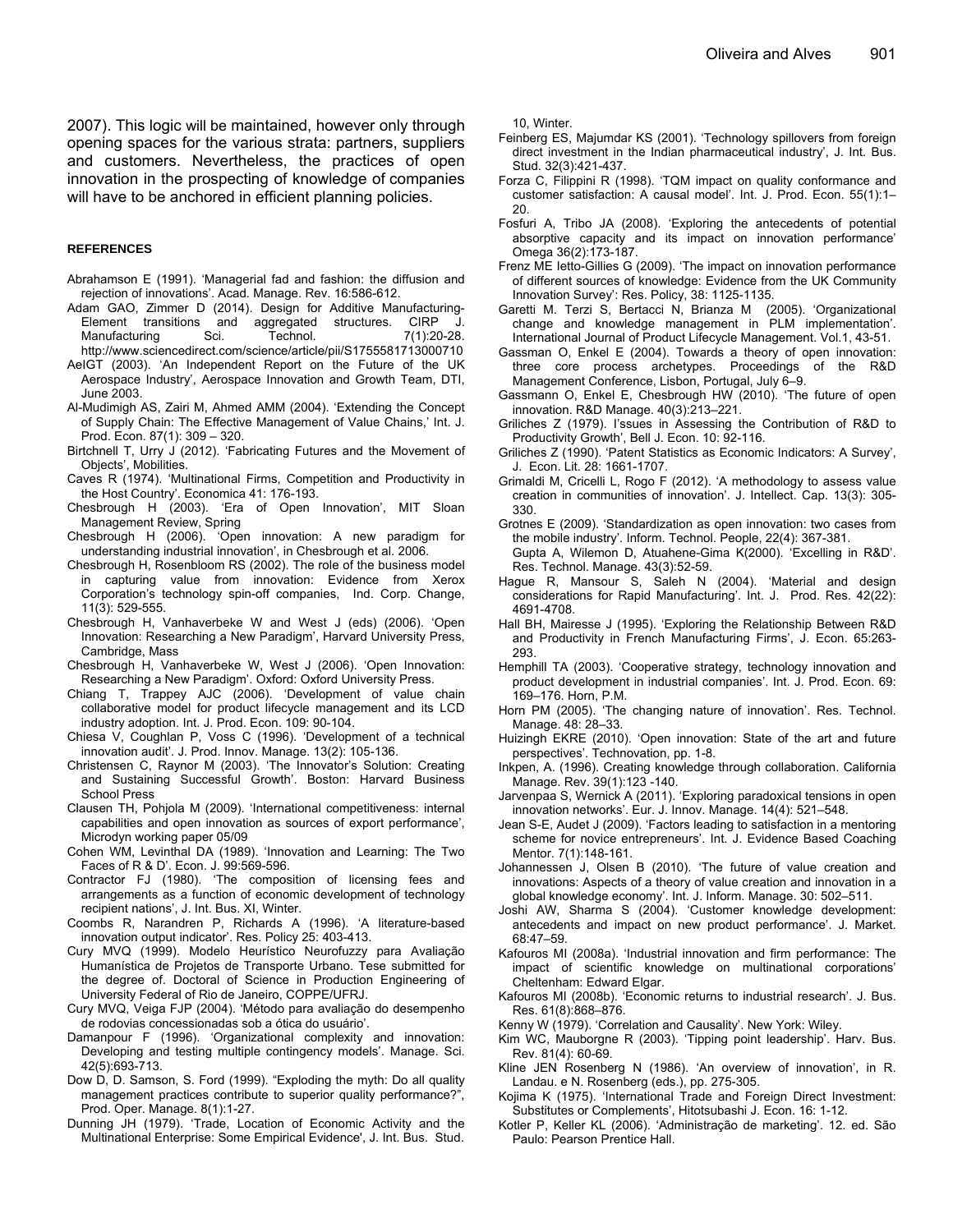2007). This logic will be maintained, however only through opening spaces for the various strata: partners, suppliers and customers. Nevertheless, the practices of open innovation in the prospecting of knowledge of companies will have to be anchored in efficient planning policies.

#### **REFERENCES**

- Abrahamson E (1991). 'Managerial fad and fashion: the diffusion and rejection of innovations'. Acad. Manage. Rev. 16:586-612.
- Adam GAO, Zimmer D (2014). Design for Additive Manufacturing-Element transitions and aggregated structures. CIRP J.<br>Manufacturing Sci. Technol. 7(1):20-28. Manufacturing Sci. Technol. http://www.sciencedirect.com/science/article/pii/S1755581713000710
- AeIGT (2003). 'An Independent Report on the Future of the UK Aerospace Industry', Aerospace Innovation and Growth Team, DTI, June 2003.
- Al-Mudimigh AS, Zairi M, Ahmed AMM (2004). 'Extending the Concept of Supply Chain: The Effective Management of Value Chains,' Int. J. Prod. Econ. 87(1): 309 – 320.
- Birtchnell T, Urry J (2012). 'Fabricating Futures and the Movement of Objects', Mobilities.
- Caves R (1974). 'Multinational Firms, Competition and Productivity in the Host Country'. Economica 41: 176-193.
- Chesbrough H (2003). 'Era of Open Innovation', MIT Sloan Management Review, Spring
- Chesbrough H (2006). 'Open innovation: A new paradigm for understanding industrial innovation', in Chesbrough et al. 2006.
- Chesbrough H, Rosenbloom RS (2002). The role of the business model in capturing value from innovation: Evidence from Xerox Corporation's technology spin-off companies, Ind. Corp. Change, 11(3): 529-555.
- Chesbrough H, Vanhaverbeke W and West J (eds) (2006). 'Open Innovation: Researching a New Paradigm', Harvard University Press, Cambridge, Mass
- Chesbrough H, Vanhaverbeke W, West J (2006). 'Open Innovation: Researching a New Paradigm'. Oxford: Oxford University Press.
- Chiang T, Trappey AJC (2006). 'Development of value chain collaborative model for product lifecycle management and its LCD industry adoption. Int. J. Prod. Econ. 109: 90-104.
- Chiesa V, Coughlan P, Voss C (1996). 'Development of a technical innovation audit'. J. Prod. Innov. Manage. 13(2): 105-136.
- Christensen C, Raynor M (2003). 'The Innovator's Solution: Creating and Sustaining Successful Growth'. Boston: Harvard Business School Press
- Clausen TH, Pohjola M (2009). 'International competitiveness: internal capabilities and open innovation as sources of export performance', Microdyn working paper 05/09
- Cohen WM, Levinthal DA (1989). 'Innovation and Learning: The Two Faces of R & D'. Econ. J. 99:569-596.
- Contractor FJ (1980). 'The composition of licensing fees and arrangements as a function of economic development of technology recipient nations', J. Int. Bus. XI, Winter.
- Coombs R, Narandren P, Richards A (1996). 'A literature-based innovation output indicator'. Res. Policy 25: 403-413.
- Cury MVQ (1999). Modelo Heurístico Neurofuzzy para Avaliação Humanística de Projetos de Transporte Urbano. Tese submitted for the degree of. Doctoral of Science in Production Engineering of University Federal of Rio de Janeiro, COPPE/UFRJ.
- Cury MVQ, Veiga FJP (2004). 'Método para avaliação do desempenho de rodovias concessionadas sob a ótica do usuário'.
- Damanpour F (1996). 'Organizational complexity and innovation: Developing and testing multiple contingency models'. Manage. Sci. 42(5):693-713.
- Dow D, D. Samson, S. Ford (1999). "Exploding the myth: Do all quality management practices contribute to superior quality performance?", Prod. Oper. Manage. 8(1):1-27.
- Dunning JH (1979). 'Trade, Location of Economic Activity and the Multinational Enterprise: Some Empirical Evidence', J. Int. Bus. Stud.

10, Winter.

- Feinberg ES, Majumdar KS (2001). 'Technology spillovers from foreign direct investment in the Indian pharmaceutical industry', J. Int. Bus. Stud. 32(3):421-437.
- Forza C, Filippini R (1998). 'TQM impact on quality conformance and customer satisfaction: A causal model'. Int. J. Prod. Econ. 55(1):1– 20.
- Fosfuri A, Tribo JA (2008). 'Exploring the antecedents of potential absorptive capacity and its impact on innovation performance' Omega 36(2):173-187.
- Frenz ME Ietto-Gillies G (2009). 'The impact on innovation performance of different sources of knowledge: Evidence from the UK Community Innovation Survey': Res. Policy, 38: 1125-1135.
- Garetti M. Terzi S, Bertacci N, Brianza M (2005). 'Organizational change and knowledge management in PLM implementation'. International Journal of Product Lifecycle Management. Vol.1, 43-51.
- Gassman O, Enkel E (2004). Towards a theory of open innovation: three core process archetypes. Proceedings of the R&D Management Conference, Lisbon, Portugal, July 6–9.
- Gassmann O, Enkel E, Chesbrough HW (2010). 'The future of open innovation. R&D Manage. 40(3):213–221.
- Griliches Z (1979). I'ssues in Assessing the Contribution of R&D to Productivity Growth', Bell J. Econ. 10: 92-116.
- Griliches Z (1990). 'Patent Statistics as Economic Indicators: A Survey', J. Econ. Lit. 28: 1661-1707.
- Grimaldi M, Cricelli L, Rogo F (2012). 'A methodology to assess value creation in communities of innovation'. J. Intellect. Cap. 13(3): 305- 330.
- Grotnes E (2009). 'Standardization as open innovation: two cases from the mobile industry'. Inform. Technol. People, 22(4): 367-381. Gupta A, Wilemon D, Atuahene-Gima K(2000). 'Excelling in R&D'. Res. Technol. Manage. 43(3):52-59.
- Hague R, Mansour S, Saleh N (2004). 'Material and design considerations for Rapid Manufacturing'. Int. J. Prod. Res. 42(22): 4691-4708.
- Hall BH, Mairesse J (1995). 'Exploring the Relationship Between R&D and Productivity in French Manufacturing Firms', J. Econ. 65:263- 293.
- Hemphill TA (2003). 'Cooperative strategy, technology innovation and product development in industrial companies'. Int. J. Prod. Econ. 69: 169–176. Horn, P.M.
- Horn PM (2005). 'The changing nature of innovation'. Res. Technol. Manage. 48: 28–33.
- Huizingh EKRE (2010). 'Open innovation: State of the art and future perspectives'. Technovation, pp. 1-8.
- Inkpen, A. (1996). Creating knowledge through collaboration. California Manage. Rev. 39(1):123 -140.
- Jarvenpaa S, Wernick A (2011). 'Exploring paradoxical tensions in open innovation networks'. Eur. J. Innov. Manage. 14(4): 521–548.
- Jean S-E, Audet J (2009). 'Factors leading to satisfaction in a mentoring scheme for novice entrepreneurs'. Int. J. Evidence Based Coaching Mentor. 7(1):148-161.
- Johannessen J, Olsen B (2010). 'The future of value creation and innovations: Aspects of a theory of value creation and innovation in a global knowledge economy'. Int. J. Inform. Manage. 30: 502–511.
- Joshi AW, Sharma S (2004). 'Customer knowledge development: antecedents and impact on new product performance'. J. Market. 68:47–59.
- Kafouros MI (2008a). 'Industrial innovation and firm performance: The impact of scientific knowledge on multinational corporations' Cheltenham: Edward Elgar.
- Kafouros MI (2008b). 'Economic returns to industrial research'. J. Bus. Res. 61(8):868–876.
- Kenny W (1979). 'Correlation and Causality'. New York: Wiley.
- Kim WC, Mauborgne R (2003). 'Tipping point leadership'. Harv. Bus. Rev. 81(4): 60-69.
- Kline JEN Rosenberg N (1986). 'An overview of innovation', in R. Landau. e N. Rosenberg (eds.), pp. 275-305.
- Kojima K (1975). 'International Trade and Foreign Direct Investment: Substitutes or Complements', Hitotsubashi J. Econ. 16: 1-12.
- Kotler P, Keller KL (2006). 'Administração de marketing'. 12. ed. São Paulo: Pearson Prentice Hall.